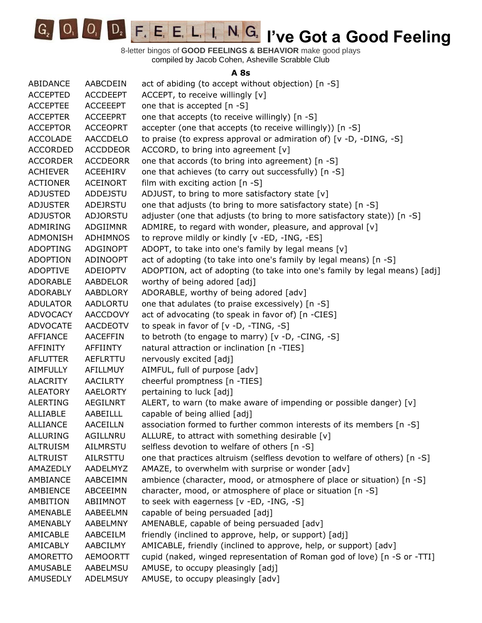8-letter bingos of **GOOD FEELINGS & BEHAVIOR** make good plays compiled by Jacob Cohen, Asheville Scrabble Club

## **A 8s**

| ABIDANCE        | AABCDEIN        | act of abiding (to accept without objection) [n -S]                         |
|-----------------|-----------------|-----------------------------------------------------------------------------|
| <b>ACCEPTED</b> | <b>ACCDEEPT</b> | ACCEPT, to receive willingly [v]                                            |
| <b>ACCEPTEE</b> | <b>ACCEEEPT</b> | one that is accepted [n -S]                                                 |
| <b>ACCEPTER</b> | <b>ACCEEPRT</b> | one that accepts (to receive willingly) [n -S]                              |
| <b>ACCEPTOR</b> | <b>ACCEOPRT</b> | accepter (one that accepts (to receive willingly)) [n -S]                   |
| <b>ACCOLADE</b> | <b>AACCDELO</b> | to praise (to express approval or admiration of) $[v -D, -DING, -S]$        |
| <b>ACCORDED</b> | <b>ACCDDEOR</b> | ACCORD, to bring into agreement $[v]$                                       |
| <b>ACCORDER</b> | <b>ACCDEORR</b> | one that accords (to bring into agreement) [n -S]                           |
| <b>ACHIEVER</b> | <b>ACEEHIRV</b> | one that achieves (to carry out successfully) [n -S]                        |
| <b>ACTIONER</b> | ACEINORT        | film with exciting action [n -S]                                            |
| <b>ADJUSTED</b> | ADDEJSTU        | ADJUST, to bring to more satisfactory state [v]                             |
| <b>ADJUSTER</b> | ADEJRSTU        | one that adjusts (to bring to more satisfactory state) [n -S]               |
| <b>ADJUSTOR</b> | <b>ADJORSTU</b> | adjuster (one that adjusts (to bring to more satisfactory state)) [n -S]    |
| ADMIRING        | ADGIIMNR        | ADMIRE, to regard with wonder, pleasure, and approval [v]                   |
| ADMONISH        | <b>ADHIMNOS</b> | to reprove mildly or kindly [v -ED, -ING, -ES]                              |
| <b>ADOPTING</b> | ADGINOPT        | ADOPT, to take into one's family by legal means [v]                         |
| <b>ADOPTION</b> | ADINOOPT        | act of adopting (to take into one's family by legal means) [n -S]           |
| <b>ADOPTIVE</b> | ADEIOPTV        | ADOPTION, act of adopting (to take into one's family by legal means) [adj]  |
| <b>ADORABLE</b> | AABDELOR        | worthy of being adored [adj]                                                |
| <b>ADORABLY</b> | AABDLORY        | ADORABLE, worthy of being adored [adv]                                      |
| <b>ADULATOR</b> | AADLORTU        | one that adulates (to praise excessively) [n -S]                            |
| <b>ADVOCACY</b> | <b>AACCDOVY</b> | act of advocating (to speak in favor of) [n -CIES]                          |
| <b>ADVOCATE</b> | <b>AACDEOTV</b> | to speak in favor of [v -D, -TING, -S]                                      |
| AFFIANCE        | <b>AACEFFIN</b> | to betroth (to engage to marry) [v -D, -CING, -S]                           |
| <b>AFFINITY</b> | AFFIINTY        | natural attraction or inclination [n -TIES]                                 |
| <b>AFLUTTER</b> | AEFLRTTU        | nervously excited [adj]                                                     |
| <b>AIMFULLY</b> | AFILLMUY        | AIMFUL, full of purpose [adv]                                               |
| <b>ALACRITY</b> | <b>AACILRTY</b> | cheerful promptness [n -TIES]                                               |
| <b>ALEATORY</b> | <b>AAELORTY</b> | pertaining to luck [adj]                                                    |
| <b>ALERTING</b> | <b>AEGILNRT</b> | ALERT, to warn (to make aware of impending or possible danger) [v]          |
| ALLIABLE        | AABEILLL        | capable of being allied [adj]                                               |
| <b>ALLIANCE</b> | <b>AACEILLN</b> | association formed to further common interests of its members [n -S]        |
| <b>ALLURING</b> | <b>AGILLNRU</b> | ALLURE, to attract with something desirable [v]                             |
| <b>ALTRUISM</b> | AILMRSTU        | selfless devotion to welfare of others [n -S]                               |
| <b>ALTRUIST</b> | <b>AILRSTTU</b> | one that practices altruism (selfless devotion to welfare of others) [n -S] |
| AMAZEDLY        | AADELMYZ        | AMAZE, to overwhelm with surprise or wonder [adv]                           |
| AMBIANCE        | AABCEIMN        | ambience (character, mood, or atmosphere of place or situation) [n -S]      |
| AMBIENCE        | ABCEEIMN        | character, mood, or atmosphere of place or situation [n -S]                 |
| <b>AMBITION</b> | ABIIMNOT        | to seek with eagerness [v -ED, -ING, -S]                                    |
| AMENABLE        | AABEELMN        | capable of being persuaded [adj]                                            |
| AMENABLY        | AABELMNY        | AMENABLE, capable of being persuaded [adv]                                  |
| AMICABLE        | AABCEILM        | friendly (inclined to approve, help, or support) [adj]                      |
| AMICABLY        | AABCILMY        | AMICABLE, friendly (inclined to approve, help, or support) [adv]            |
| AMORETTO        | <b>AEMOORTT</b> | cupid (naked, winged representation of Roman god of love) [n -S or -TTI]    |
| <b>AMUSABLE</b> | AABELMSU        | AMUSE, to occupy pleasingly [adj]                                           |
| <b>AMUSEDLY</b> | <b>ADELMSUY</b> | AMUSE, to occupy pleasingly [adv]                                           |
|                 |                 |                                                                             |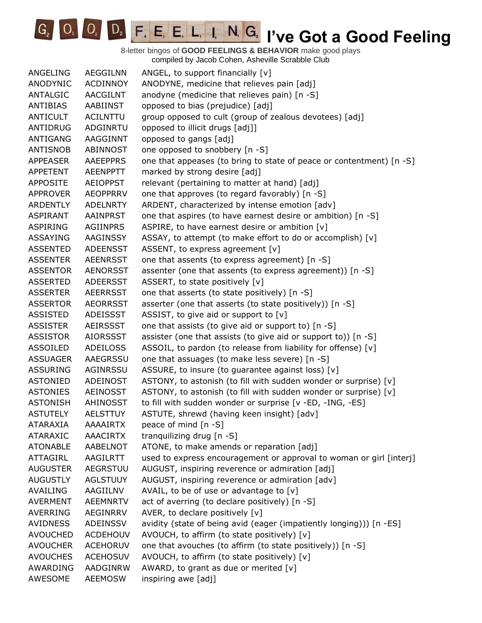| ANGELING        | <b>AEGGILNN</b> | ANGEL, to support financially [v]                                    |
|-----------------|-----------------|----------------------------------------------------------------------|
| ANODYNIC        | <b>ACDINNOY</b> | ANODYNE, medicine that relieves pain [adj]                           |
| ANTALGIC        | <b>AACGILNT</b> | anodyne (medicine that relieves pain) [n -S]                         |
| ANTIBIAS        | AABIINST        | opposed to bias (prejudice) [adj]                                    |
| <b>ANTICULT</b> | <b>ACILNTTU</b> | group opposed to cult (group of zealous devotees) [adj]              |
| ANTIDRUG        | ADGINRTU        | opposed to illicit drugs [adj]]                                      |
| ANTIGANG        | AAGGINNT        | opposed to gangs [adj]                                               |
| ANTISNOB        | ABINNOST        | one opposed to snobbery [n -S]                                       |
| <b>APPEASER</b> | <b>AAEEPPRS</b> | one that appeases (to bring to state of peace or contentment) [n -S] |
| APPETENT        | <b>AEENPPTT</b> | marked by strong desire [adj]                                        |
| <b>APPOSITE</b> | <b>AEIOPPST</b> | relevant (pertaining to matter at hand) [adj]                        |
| APPROVER        | <b>AEOPPRRV</b> | one that approves (to regard favorably) [n -S]                       |
| ARDENTLY        | <b>ADELNRTY</b> | ARDENT, characterized by intense emotion [adv]                       |
| ASPIRANT        | AAINPRST        | one that aspires (to have earnest desire or ambition) [n -S]         |
| <b>ASPIRING</b> | <b>AGIINPRS</b> | ASPIRE, to have earnest desire or ambition [v]                       |
| ASSAYING        | AAGINSSY        | ASSAY, to attempt (to make effort to do or accomplish) [v]           |
| <b>ASSENTED</b> | <b>ADEENSST</b> | ASSENT, to express agreement [v]                                     |
| <b>ASSENTER</b> | <b>AEENRSST</b> | one that assents (to express agreement) [n -S]                       |
| <b>ASSENTOR</b> | <b>AENORSST</b> | assenter (one that assents (to express agreement)) [n -S]            |
| ASSERTED        | <b>ADEERSST</b> | ASSERT, to state positively [v]                                      |
| <b>ASSERTER</b> | <b>AEERRSST</b> | one that asserts (to state positively) [n -S]                        |
| <b>ASSERTOR</b> | <b>AEORRSST</b> | asserter (one that asserts (to state positively)) [n -S]             |
| ASSISTED        | ADEISSST        | ASSIST, to give aid or support to $[v]$                              |
| <b>ASSISTER</b> | <b>AEIRSSST</b> | one that assists (to give aid or support to) [n -S]                  |
| <b>ASSISTOR</b> | <b>AIORSSST</b> | assister (one that assists (to give aid or support to)) [n -S]       |
| ASSOILED        | <b>ADEILOSS</b> | ASSOIL, to pardon (to release from liability for offense) [v]        |
| <b>ASSUAGER</b> | AAEGRSSU        | one that assuages (to make less severe) [n -S]                       |
| <b>ASSURING</b> | AGINRSSU        | ASSURE, to insure (to guarantee against loss) [v]                    |
| <b>ASTONIED</b> | ADEINOST        | ASTONY, to astonish (to fill with sudden wonder or surprise) [v]     |
| <b>ASTONIES</b> | <b>AEINOSST</b> | ASTONY, to astonish (to fill with sudden wonder or surprise) [v]     |
| <b>ASTONISH</b> | AHINOSST        | to fill with sudden wonder or surprise [v -ED, -ING, -ES]            |
| <b>ASTUTELY</b> | <b>AELSTTUY</b> | ASTUTE, shrewd (having keen insight) [adv]                           |
| <b>ATARAXIA</b> | <b>AAAAIRTX</b> | peace of mind [n -S]                                                 |
| <b>ATARAXIC</b> | <b>AAACIRTX</b> | tranquilizing drug [n -S]                                            |
| <b>ATONABLE</b> | AABELNOT        | ATONE, to make amends or reparation [adj]                            |
| <b>ATTAGIRL</b> | AAGILRTT        | used to express encouragement or approval to woman or girl [interj]  |
| <b>AUGUSTER</b> | <b>AEGRSTUU</b> | AUGUST, inspiring reverence or admiration [adj]                      |
| <b>AUGUSTLY</b> | <b>AGLSTUUY</b> | AUGUST, inspiring reverence or admiration [adv]                      |
| <b>AVAILING</b> | AAGIILNV        | AVAIL, to be of use or advantage to $[v]$                            |
| <b>AVERMENT</b> | <b>AEEMNRTV</b> | act of averring (to declare positively) [n -S]                       |
| AVERRING        | AEGINRRV        | AVER, to declare positively [v]                                      |
| <b>AVIDNESS</b> | ADEINSSV        | avidity (state of being avid (eager (impatiently longing))) [n -ES]  |
| <b>AVOUCHED</b> | <b>ACDEHOUV</b> | AVOUCH, to affirm (to state positively) [v]                          |
| <b>AVOUCHER</b> | <b>ACEHORUV</b> | one that avouches (to affirm (to state positively)) [n -S]           |
| <b>AVOUCHES</b> | <b>ACEHOSUV</b> | AVOUCH, to affirm (to state positively) [v]                          |
| AWARDING        | AADGINRW        | AWARD, to grant as due or merited $[v]$                              |
| AWESOME         | <b>AEEMOSW</b>  | inspiring awe [adj]                                                  |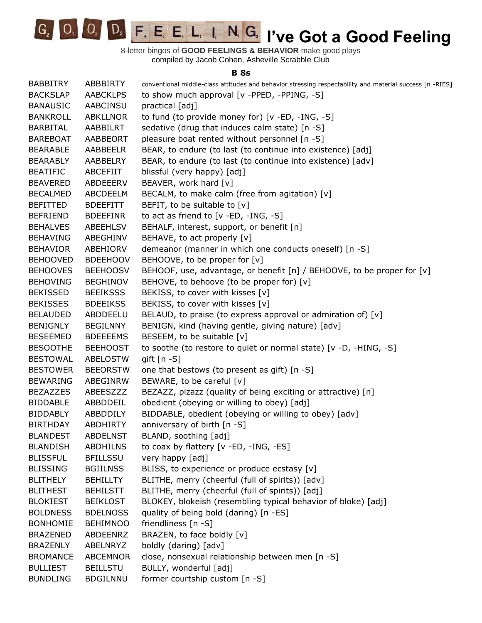8-letter bingos of **GOOD FEELINGS & BEHAVIOR** make good plays compiled by Jacob Cohen, Asheville Scrabble Club

## **B 8s**

| <b>BABBITRY</b> | ABBBIRTY        | conventional middle-class attitudes and behavior stressing respectability and material success [n -RIES] |
|-----------------|-----------------|----------------------------------------------------------------------------------------------------------|
| <b>BACKSLAP</b> | <b>AABCKLPS</b> | to show much approval [v -PPED, -PPING, -S]                                                              |
| <b>BANAUSIC</b> | <b>AABCINSU</b> | practical [adj]                                                                                          |
| <b>BANKROLL</b> | <b>ABKLLNOR</b> | to fund (to provide money for) [v -ED, -ING, -S]                                                         |
| <b>BARBITAL</b> | AABBILRT        | sedative (drug that induces calm state) [n -S]                                                           |
| <b>BAREBOAT</b> | AABBEORT        | pleasure boat rented without personnel [n -S]                                                            |
| <b>BEARABLE</b> | AABBEELR        | BEAR, to endure (to last (to continue into existence) [adj]                                              |
| <b>BEARABLY</b> | AABBELRY        | BEAR, to endure (to last (to continue into existence) [adv]                                              |
| <b>BEATIFIC</b> | ABCEFIIT        | blissful (very happy) [adj]                                                                              |
| <b>BEAVERED</b> | ABDEEERV        | BEAVER, work hard [v]                                                                                    |
| <b>BECALMED</b> | ABCDEELM        | BECALM, to make calm (free from agitation) [v]                                                           |
| <b>BEFITTED</b> | <b>BDEEFITT</b> | BEFIT, to be suitable to $[v]$                                                                           |
| <b>BEFRIEND</b> | <b>BDEEFINR</b> | to act as friend to $[v - ED, -ING, -S]$                                                                 |
| <b>BEHALVES</b> | ABEEHLSV        | BEHALF, interest, support, or benefit [n]                                                                |
| <b>BEHAVING</b> | ABEGHINV        | BEHAVE, to act properly [v]                                                                              |
| <b>BEHAVIOR</b> | ABEHIORV        | demeanor (manner in which one conducts oneself) [n -S]                                                   |
| <b>BEHOOVED</b> | <b>BDEEHOOV</b> | BEHOOVE, to be proper for [v]                                                                            |
| <b>BEHOOVES</b> | <b>BEEHOOSV</b> | BEHOOF, use, advantage, or benefit [n] / BEHOOVE, to be proper for [v]                                   |
| <b>BEHOVING</b> | <b>BEGHINOV</b> | BEHOVE, to behoove (to be proper for) [v]                                                                |
| <b>BEKISSED</b> | <b>BEEIKSSS</b> | BEKISS, to cover with kisses [v]                                                                         |
| <b>BEKISSES</b> | <b>BDEEIKSS</b> | BEKISS, to cover with kisses [v]                                                                         |
| <b>BELAUDED</b> | ABDDEELU        | BELAUD, to praise (to express approval or admiration of) [v]                                             |
| <b>BENIGNLY</b> | <b>BEGILNNY</b> | BENIGN, kind (having gentle, giving nature) [adv]                                                        |
| <b>BESEEMED</b> | <b>BDEEEEMS</b> | BESEEM, to be suitable [v]                                                                               |
| <b>BESOOTHE</b> | <b>BEEHOOST</b> | to soothe (to restore to quiet or normal state) [v -D, -HING, -S]                                        |
| <b>BESTOWAL</b> | <b>ABELOSTW</b> | gift [n -S]                                                                                              |
| <b>BESTOWER</b> | <b>BEEORSTW</b> | one that bestows (to present as gift) [n -S]                                                             |
| <b>BEWARING</b> | ABEGINRW        | BEWARE, to be careful [v]                                                                                |
| <b>BEZAZZES</b> | ABEESZZZ        | BEZAZZ, pizazz (quality of being exciting or attractive) [n]                                             |
| <b>BIDDABLE</b> | ABBDDEIL        | obedient (obeying or willing to obey) [adj]                                                              |
| <b>BIDDABLY</b> | ABBDDILY        | BIDDABLE, obedient (obeying or willing to obey) [adv]                                                    |
| <b>BIRTHDAY</b> | <b>ABDHIRTY</b> | anniversary of birth [n -S]                                                                              |
| <b>BLANDEST</b> | <b>ABDELNST</b> | BLAND, soothing [adj]                                                                                    |
| <b>BLANDISH</b> | <b>ABDHILNS</b> | to coax by flattery [v -ED, -ING, -ES]                                                                   |
| <b>BLISSFUL</b> | <b>BFILLSSU</b> | very happy [adj]                                                                                         |
| <b>BLISSING</b> | <b>BGIILNSS</b> | BLISS, to experience or produce ecstasy [v]                                                              |
| <b>BLITHELY</b> | <b>BEHILLTY</b> | BLITHE, merry (cheerful (full of spirits)) [adv]                                                         |
| <b>BLITHEST</b> | <b>BEHILSTT</b> | BLITHE, merry (cheerful (full of spirits)) [adj]                                                         |
| <b>BLOKIEST</b> | <b>BEIKLOST</b> | BLOKEY, blokeish (resembling typical behavior of bloke) [adj]                                            |
| <b>BOLDNESS</b> | <b>BDELNOSS</b> | quality of being bold (daring) [n -ES]                                                                   |
| <b>BONHOMIE</b> | <b>BEHIMNOO</b> | friendliness [n -S]                                                                                      |
| <b>BRAZENED</b> | ABDEENRZ        | BRAZEN, to face boldly [v]                                                                               |
| <b>BRAZENLY</b> | ABELNRYZ        | boldly (daring) [adv]                                                                                    |
| <b>BROMANCE</b> | <b>ABCEMNOR</b> | close, nonsexual relationship between men [n -S]                                                         |
| <b>BULLIEST</b> | <b>BEILLSTU</b> | BULLY, wonderful [adj]                                                                                   |
| <b>BUNDLING</b> | <b>BDGILNNU</b> | former courtship custom [n -S]                                                                           |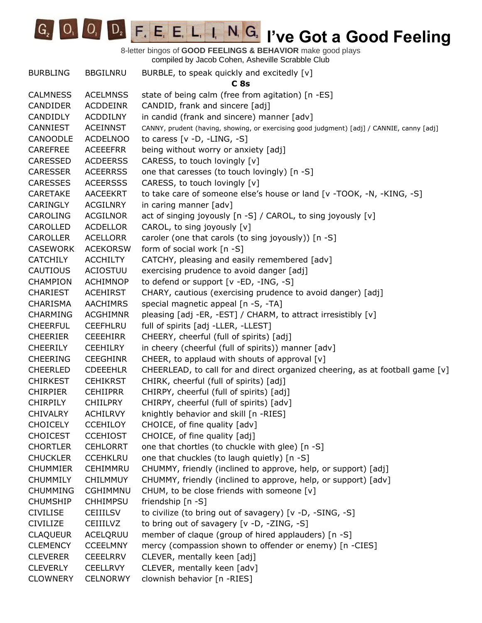**O<sub>1</sub> D<sub>2</sub> F**<sub>1</sub> **E**<sub>1</sub> **E**<sub>1</sub> **L**<sub>1</sub> **I**<sub>1</sub> **N**<sub>1</sub> **G<sub>2</sub> I**'ve Got a Good Feeling  $G<sub>2</sub>$ 

| <b>BURBLING</b> | <b>BBGILNRU</b> | BURBLE, to speak quickly and excitedly [v]                                                |
|-----------------|-----------------|-------------------------------------------------------------------------------------------|
|                 |                 | C <sub>8s</sub>                                                                           |
| <b>CALMNESS</b> | <b>ACELMNSS</b> | state of being calm (free from agitation) [n -ES]                                         |
| <b>CANDIDER</b> | <b>ACDDEINR</b> | CANDID, frank and sincere [adj]                                                           |
| CANDIDLY        | <b>ACDDILNY</b> | in candid (frank and sincere) manner [adv]                                                |
| CANNIEST        | <b>ACEINNST</b> | CANNY, prudent (having, showing, or exercising good judgment) [adj] / CANNIE, canny [adj] |
| CANOODLE        | <b>ACDELNOO</b> | to caress $[v -D, -LING, -S]$                                                             |
| <b>CAREFREE</b> | <b>ACEEEFRR</b> | being without worry or anxiety [adj]                                                      |
| <b>CARESSED</b> | <b>ACDEERSS</b> | CARESS, to touch lovingly [v]                                                             |
| <b>CARESSER</b> | <b>ACEERRSS</b> | one that caresses (to touch lovingly) [n -S]                                              |
| <b>CARESSES</b> | <b>ACEERSSS</b> | CARESS, to touch lovingly [v]                                                             |
| <b>CARETAKE</b> | <b>AACEEKRT</b> | to take care of someone else's house or land [v -TOOK, -N, -KING, -S]                     |
| <b>CARINGLY</b> | <b>ACGILNRY</b> | in caring manner [adv]                                                                    |
| CAROLING        | <b>ACGILNOR</b> | act of singing joyously [n -S] / CAROL, to sing joyously [v]                              |
| CAROLLED        | <b>ACDELLOR</b> | CAROL, to sing joyously [v]                                                               |
| <b>CAROLLER</b> | <b>ACELLORR</b> | caroler (one that carols (to sing joyously)) [n -S]                                       |
| <b>CASEWORK</b> | <b>ACEKORSW</b> | form of social work $[n - S]$                                                             |
| <b>CATCHILY</b> | <b>ACCHILTY</b> | CATCHY, pleasing and easily remembered [adv]                                              |
| <b>CAUTIOUS</b> | <b>ACIOSTUU</b> | exercising prudence to avoid danger [adj]                                                 |
| <b>CHAMPION</b> | <b>ACHIMNOP</b> | to defend or support [v -ED, -ING, -S]                                                    |
| <b>CHARIEST</b> | <b>ACEHIRST</b> | CHARY, cautious (exercising prudence to avoid danger) [adj]                               |
| <b>CHARISMA</b> | <b>AACHIMRS</b> | special magnetic appeal [n -S, -TA]                                                       |
| <b>CHARMING</b> | <b>ACGHIMNR</b> | pleasing [adj -ER, -EST] / CHARM, to attract irresistibly [v]                             |
| <b>CHEERFUL</b> | <b>CEEFHLRU</b> | full of spirits [adj -LLER, -LLEST]                                                       |
| <b>CHEERIER</b> | <b>CEEEHIRR</b> | CHEERY, cheerful (full of spirits) [adj]                                                  |
| <b>CHEERILY</b> | <b>CEEHILRY</b> | in cheery (cheerful (full of spirits)) manner [adv]                                       |
| <b>CHEERING</b> | <b>CEEGHINR</b> | CHEER, to applaud with shouts of approval [v]                                             |
| <b>CHEERLED</b> | <b>CDEEEHLR</b> | CHEERLEAD, to call for and direct organized cheering, as at football game [v]             |
| <b>CHIRKEST</b> | <b>CEHIKRST</b> | CHIRK, cheerful (full of spirits) [adj]                                                   |
| <b>CHIRPIER</b> | <b>CEHIIPRR</b> | CHIRPY, cheerful (full of spirits) [adj]                                                  |
| <b>CHIRPILY</b> | <b>CHIILPRY</b> | CHIRPY, cheerful (full of spirits) [adv]                                                  |
| <b>CHIVALRY</b> | <b>ACHILRVY</b> | knightly behavior and skill [n -RIES]                                                     |
| <b>CHOICELY</b> | <b>CCEHILOY</b> | CHOICE, of fine quality [adv]                                                             |
| <b>CHOICEST</b> | <b>CCEHIOST</b> | CHOICE, of fine quality [adj]                                                             |
| <b>CHORTLER</b> | <b>CEHLORRT</b> | one that chortles (to chuckle with glee) [n -S]                                           |
| <b>CHUCKLER</b> | <b>CCEHKLRU</b> | one that chuckles (to laugh quietly) [n -S]                                               |
| <b>CHUMMIER</b> | CEHIMMRU        | CHUMMY, friendly (inclined to approve, help, or support) [adj]                            |
| <b>CHUMMILY</b> | <b>CHILMMUY</b> | CHUMMY, friendly (inclined to approve, help, or support) [adv]                            |
| <b>CHUMMING</b> | <b>CGHIMMNU</b> | CHUM, to be close friends with someone [v]                                                |
| <b>CHUMSHIP</b> | <b>CHHIMPSU</b> | friendship [n -S]                                                                         |
| <b>CIVILISE</b> | <b>CEIIILSV</b> | to civilize (to bring out of savagery) [v -D, -SING, -S]                                  |
| <b>CIVILIZE</b> | <b>CEIIILVZ</b> | to bring out of savagery [v -D, -ZING, -S]                                                |
| <b>CLAQUEUR</b> | ACELQRUU        | member of claque (group of hired applauders) [n -S]                                       |
| <b>CLEMENCY</b> | <b>CCEELMNY</b> | mercy (compassion shown to offender or enemy) [n -CIES]                                   |
| <b>CLEVERER</b> | <b>CEEELRRV</b> | CLEVER, mentally keen [adj]                                                               |
| <b>CLEVERLY</b> | <b>CEELLRVY</b> | CLEVER, mentally keen [adv]                                                               |
| <b>CLOWNERY</b> | <b>CELNORWY</b> | clownish behavior [n -RIES]                                                               |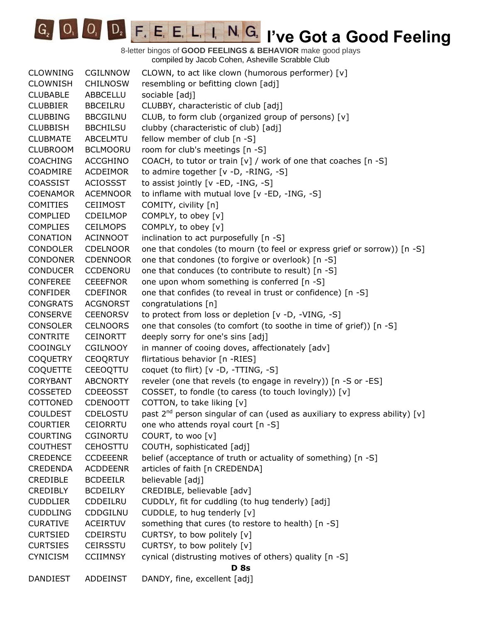| <b>CLOWNING</b> | <b>CGILNNOW</b> | CLOWN, to act like clown (humorous performer) [v]                               |
|-----------------|-----------------|---------------------------------------------------------------------------------|
| <b>CLOWNISH</b> | <b>CHILNOSW</b> | resembling or befitting clown [adj]                                             |
| <b>CLUBABLE</b> | ABBCELLU        | sociable [adj]                                                                  |
| <b>CLUBBIER</b> | <b>BBCEILRU</b> | CLUBBY, characteristic of club [adj]                                            |
| <b>CLUBBING</b> | <b>BBCGILNU</b> | CLUB, to form club (organized group of persons) [v]                             |
| <b>CLUBBISH</b> | <b>BBCHILSU</b> | clubby (characteristic of club) [adj]                                           |
| <b>CLUBMATE</b> | ABCELMTU        | fellow member of club [n -S]                                                    |
| <b>CLUBROOM</b> | <b>BCLMOORU</b> | room for club's meetings [n -S]                                                 |
| <b>COACHING</b> | ACCGHINO        | COACH, to tutor or train [v] / work of one that coaches [n -S]                  |
| COADMIRE        | ACDEIMOR        | to admire together [v -D, -RING, -S]                                            |
| COASSIST        | <b>ACIOSSST</b> | to assist jointly [v -ED, -ING, -S]                                             |
| <b>COENAMOR</b> | <b>ACEMNOOR</b> | to inflame with mutual love [v -ED, -ING, -S]                                   |
| <b>COMITIES</b> | <b>CEIIMOST</b> | COMITY, civility [n]                                                            |
| <b>COMPLIED</b> | <b>CDEILMOP</b> | COMPLY, to obey [v]                                                             |
| <b>COMPLIES</b> | <b>CEILMOPS</b> | COMPLY, to obey [v]                                                             |
| CONATION        | <b>ACINNOOT</b> | inclination to act purposefully [n -S]                                          |
| <b>CONDOLER</b> | <b>CDELNOOR</b> | one that condoles (to mourn (to feel or express grief or sorrow)) [n -S]        |
| <b>CONDONER</b> | <b>CDENNOOR</b> | one that condones (to forgive or overlook) [n -S]                               |
| <b>CONDUCER</b> | <b>CCDENORU</b> | one that conduces (to contribute to result) [n -S]                              |
| <b>CONFEREE</b> | <b>CEEEFNOR</b> | one upon whom something is conferred [n -S]                                     |
| <b>CONFIDER</b> | <b>CDEFINOR</b> | one that confides (to reveal in trust or confidence) [n -S]                     |
| <b>CONGRATS</b> | <b>ACGNORST</b> | congratulations [n]                                                             |
| <b>CONSERVE</b> | <b>CEENORSV</b> | to protect from loss or depletion [v -D, -VING, -S]                             |
| <b>CONSOLER</b> | <b>CELNOORS</b> | one that consoles (to comfort (to soothe in time of grief)) [n -S]              |
| <b>CONTRITE</b> | <b>CEINORTT</b> | deeply sorry for one's sins [adj]                                               |
| <b>COOINGLY</b> | <b>CGILNOOY</b> | in manner of cooing doves, affectionately [adv]                                 |
| <b>COQUETRY</b> | <b>CEOQRTUY</b> | flirtatious behavior [n -RIES]                                                  |
| <b>COQUETTE</b> | CEEOQTTU        | coquet (to flirt) [v -D, -TTING, -S]                                            |
| <b>CORYBANT</b> | <b>ABCNORTY</b> | reveler (one that revels (to engage in revelry)) [n -S or -ES]                  |
| <b>COSSETED</b> | <b>CDEEOSST</b> | COSSET, to fondle (to caress (to touch lovingly)) [v]                           |
| COTTONED        | <b>CDENOOTT</b> | COTTON, to take liking [v]                                                      |
| <b>COULDEST</b> | <b>CDELOSTU</b> | past $2^{nd}$ person singular of can (used as auxiliary to express ability) [v] |
| <b>COURTIER</b> | <b>CEIORRTU</b> | one who attends royal court [n -S]                                              |
| <b>COURTING</b> | <b>CGINORTU</b> | COURT, to woo [v]                                                               |
| <b>COUTHEST</b> | <b>CEHOSTTU</b> | COUTH, sophisticated [adj]                                                      |
| <b>CREDENCE</b> | <b>CCDEEENR</b> | belief (acceptance of truth or actuality of something) [n -S]                   |
| <b>CREDENDA</b> | <b>ACDDEENR</b> | articles of faith [n CREDENDA]                                                  |
| CREDIBLE        | <b>BCDEEILR</b> | believable [adj]                                                                |
| <b>CREDIBLY</b> | <b>BCDEILRY</b> | CREDIBLE, believable [adv]                                                      |
| <b>CUDDLIER</b> | CDDEILRU        | CUDDLY, fit for cuddling (to hug tenderly) [adj]                                |
| <b>CUDDLING</b> | CDDGILNU        | CUDDLE, to hug tenderly [v]                                                     |
| <b>CURATIVE</b> | <b>ACEIRTUV</b> | something that cures (to restore to health) [n -S]                              |
| <b>CURTSIED</b> | CDEIRSTU        | CURTSY, to bow politely [v]                                                     |
| <b>CURTSIES</b> | <b>CEIRSSTU</b> | CURTSY, to bow politely [v]                                                     |
| <b>CYNICISM</b> | <b>CCIIMNSY</b> | cynical (distrusting motives of others) quality [n -S]                          |
|                 |                 | <b>D</b> 8s                                                                     |
| <b>DANDIEST</b> | ADDEINST        | DANDY, fine, excellent [adj]                                                    |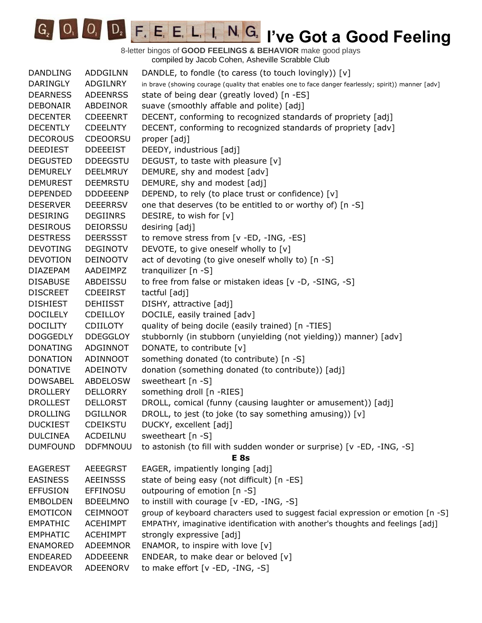| <b>DANDLING</b> | <b>ADDGILNN</b> | DANDLE, to fondle (to caress (to touch lovingly)) [v]                                                |
|-----------------|-----------------|------------------------------------------------------------------------------------------------------|
| <b>DARINGLY</b> | ADGILNRY        | in brave (showing courage (quality that enables one to face danger fearlessly; spirit)) manner [adv] |
| <b>DEARNESS</b> | <b>ADEENRSS</b> | state of being dear (greatly loved) [n -ES]                                                          |
| <b>DEBONAIR</b> | ABDEINOR        | suave (smoothly affable and polite) [adj]                                                            |
| <b>DECENTER</b> | <b>CDEEENRT</b> | DECENT, conforming to recognized standards of propriety [adj]                                        |
| <b>DECENTLY</b> | <b>CDEELNTY</b> | DECENT, conforming to recognized standards of propriety [adv]                                        |
| <b>DECOROUS</b> | <b>CDEOORSU</b> | proper [adj]                                                                                         |
| <b>DEEDIEST</b> | <b>DDEEEIST</b> | DEEDY, industrious [adj]                                                                             |
| <b>DEGUSTED</b> | <b>DDEEGSTU</b> | DEGUST, to taste with pleasure [v]                                                                   |
| <b>DEMURELY</b> | <b>DEELMRUY</b> | DEMURE, shy and modest [adv]                                                                         |
| <b>DEMUREST</b> | <b>DEEMRSTU</b> | DEMURE, shy and modest [adj]                                                                         |
| <b>DEPENDED</b> | <b>DDDEEENP</b> | DEPEND, to rely (to place trust or confidence) [v]                                                   |
| <b>DESERVER</b> | <b>DEEERRSV</b> | one that deserves (to be entitled to or worthy of) [n -S]                                            |
| <b>DESIRING</b> | <b>DEGIINRS</b> | DESIRE, to wish for [v]                                                                              |
| <b>DESIROUS</b> | <b>DEIORSSU</b> | desiring [adj]                                                                                       |
| <b>DESTRESS</b> | <b>DEERSSST</b> | to remove stress from [v -ED, -ING, -ES]                                                             |
| <b>DEVOTING</b> | <b>DEGINOTV</b> | DEVOTE, to give oneself wholly to [v]                                                                |
| <b>DEVOTION</b> | <b>DEINOOTV</b> | act of devoting (to give oneself wholly to) [n -S]                                                   |
| <b>DIAZEPAM</b> | AADEIMPZ        | tranquilizer $[n - S]$                                                                               |
| <b>DISABUSE</b> | ABDEISSU        | to free from false or mistaken ideas [v -D, -SING, -S]                                               |
| <b>DISCREET</b> | <b>CDEEIRST</b> | tactful [adj]                                                                                        |
| <b>DISHIEST</b> | <b>DEHIISST</b> | DISHY, attractive [adj]                                                                              |
| <b>DOCILELY</b> | <b>CDEILLOY</b> | DOCILE, easily trained [adv]                                                                         |
| <b>DOCILITY</b> | <b>CDIILOTY</b> | quality of being docile (easily trained) [n -TIES]                                                   |
| <b>DOGGEDLY</b> | <b>DDEGGLOY</b> | stubbornly (in stubborn (unyielding (not yielding)) manner) [adv]                                    |
| <b>DONATING</b> | ADGINNOT        | DONATE, to contribute [v]                                                                            |
| <b>DONATION</b> | ADINNOOT        | something donated (to contribute) [n -S]                                                             |
| <b>DONATIVE</b> | ADEINOTV        | donation (something donated (to contribute)) [adj]                                                   |
| <b>DOWSABEL</b> | ABDELOSW        | sweetheart [n -S]                                                                                    |
| <b>DROLLERY</b> | <b>DELLORRY</b> | something droll [n -RIES]                                                                            |
| <b>DROLLEST</b> | <b>DELLORST</b> | DROLL, comical (funny (causing laughter or amusement)) [adj]                                         |
| <b>DROLLING</b> | <b>DGILLNOR</b> | DROLL, to jest (to joke (to say something amusing)) [v]                                              |
| <b>DUCKIEST</b> | <b>CDEIKSTU</b> | DUCKY, excellent [adj]                                                                               |
| <b>DULCINEA</b> | ACDEILNU        | sweetheart [n -S]                                                                                    |
| <b>DUMFOUND</b> | <b>DDFMNOUU</b> | to astonish (to fill with sudden wonder or surprise) [v -ED, -ING, -S]                               |
|                 |                 | E <sub>8s</sub>                                                                                      |
| <b>EAGEREST</b> | <b>AEEEGRST</b> | EAGER, impatiently longing [adj]                                                                     |
| <b>EASINESS</b> | <b>AEEINSSS</b> | state of being easy (not difficult) [n -ES]                                                          |
| <b>EFFUSION</b> | EFFINOSU        | outpouring of emotion [n -S]                                                                         |
| <b>EMBOLDEN</b> | <b>BDEELMNO</b> | to instill with courage [v -ED, -ING, -S]                                                            |
| <b>EMOTICON</b> | <b>CEIMNOOT</b> | group of keyboard characters used to suggest facial expression or emotion [n -S]                     |
| <b>EMPATHIC</b> | <b>ACEHIMPT</b> | EMPATHY, imaginative identification with another's thoughts and feelings [adj]                       |
| <b>EMPHATIC</b> | <b>ACEHIMPT</b> | strongly expressive [adj]                                                                            |
| <b>ENAMORED</b> | <b>ADEEMNOR</b> | ENAMOR, to inspire with love $[v]$                                                                   |
| <b>ENDEARED</b> | ADDEEENR        | ENDEAR, to make dear or beloved [v]                                                                  |
| <b>ENDEAVOR</b> | ADEENORV        | to make effort [v -ED, -ING, -S]                                                                     |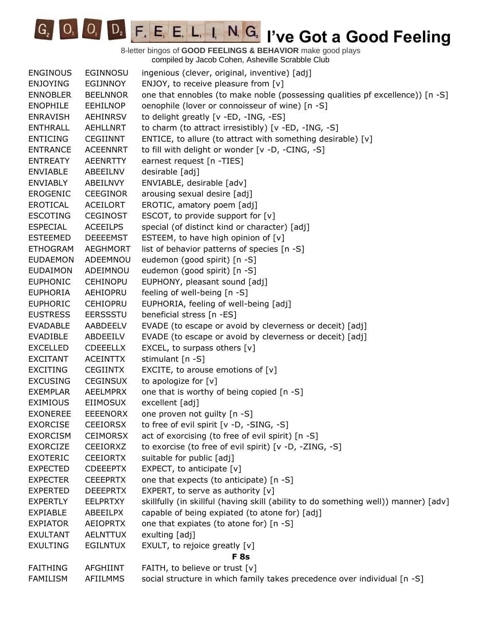| <b>ENGINOUS</b> | <b>EGINNOSU</b> | ingenious (clever, original, inventive) [adj]                                       |
|-----------------|-----------------|-------------------------------------------------------------------------------------|
| <b>ENJOYING</b> | EGIJNNOY        | ENJOY, to receive pleasure from [v]                                                 |
| <b>ENNOBLER</b> | <b>BEELNNOR</b> | one that ennobles (to make noble (possessing qualities pf excellence)) [n -S]       |
| <b>ENOPHILE</b> | <b>EEHILNOP</b> | oenophile (lover or connoisseur of wine) [n -S]                                     |
| <b>ENRAVISH</b> | <b>AEHINRSV</b> | to delight greatly [v -ED, -ING, -ES]                                               |
| <b>ENTHRALL</b> | <b>AEHLLNRT</b> | to charm (to attract irresistibly) [v -ED, -ING, -S]                                |
| <b>ENTICING</b> | <b>CEGIINNT</b> | ENTICE, to allure (to attract with something desirable) [v]                         |
| <b>ENTRANCE</b> | <b>ACEENNRT</b> | to fill with delight or wonder [v -D, -CING, -S]                                    |
| <b>ENTREATY</b> | <b>AEENRTTY</b> | earnest request [n -TIES]                                                           |
| <b>ENVIABLE</b> | ABEEILNV        | desirable [adj]                                                                     |
| <b>ENVIABLY</b> | ABEILNVY        | ENVIABLE, desirable [adv]                                                           |
| <b>EROGENIC</b> | <b>CEEGINOR</b> | arousing sexual desire [adj]                                                        |
| <b>EROTICAL</b> | <b>ACEILORT</b> | EROTIC, amatory poem [adj]                                                          |
| <b>ESCOTING</b> | <b>CEGINOST</b> | ESCOT, to provide support for [v]                                                   |
| <b>ESPECIAL</b> | <b>ACEEILPS</b> | special (of distinct kind or character) [adj]                                       |
| <b>ESTEEMED</b> | <b>DEEEEMST</b> | ESTEEM, to have high opinion of $[v]$                                               |
| <b>ETHOGRAM</b> | <b>AEGHMORT</b> | list of behavior patterns of species [n -S]                                         |
| <b>EUDAEMON</b> | ADEEMNOU        | eudemon (good spirit) [n -S]                                                        |
| <b>EUDAIMON</b> | ADEIMNOU        | eudemon (good spirit) [n -S]                                                        |
| <b>EUPHONIC</b> | <b>CEHINOPU</b> | EUPHONY, pleasant sound [adj]                                                       |
| <b>EUPHORIA</b> | AEHIOPRU        | feeling of well-being [n -S]                                                        |
| <b>EUPHORIC</b> | <b>CEHIOPRU</b> | EUPHORIA, feeling of well-being [adj]                                               |
| <b>EUSTRESS</b> | <b>EERSSSTU</b> | beneficial stress [n -ES]                                                           |
| <b>EVADABLE</b> | AABDEELV        | EVADE (to escape or avoid by cleverness or deceit) [adj]                            |
| EVADIBLE        | ABDEEILV        | EVADE (to escape or avoid by cleverness or deceit) [adj]                            |
| <b>EXCELLED</b> | <b>CDEEELLX</b> | EXCEL, to surpass others $[v]$                                                      |
| <b>EXCITANT</b> | <b>ACEINTTX</b> | stimulant [n -S]                                                                    |
| <b>EXCITING</b> | <b>CEGIINTX</b> | EXCITE, to arouse emotions of $[v]$                                                 |
| <b>EXCUSING</b> | <b>CEGINSUX</b> | to apologize for [v]                                                                |
| <b>EXEMPLAR</b> | <b>AEELMPRX</b> | one that is worthy of being copied [n -S]                                           |
| <b>EXIMIOUS</b> | <b>EIIMOSUX</b> | excellent [adj]                                                                     |
| <b>EXONEREE</b> | <b>EEEENORX</b> | one proven not guilty [n -S]                                                        |
| <b>EXORCISE</b> | <b>CEEIORSX</b> | to free of evil spirit [v -D, -SING, -S]                                            |
| <b>EXORCISM</b> | <b>CEIMORSX</b> | act of exorcising (to free of evil spirit) [n -S]                                   |
| <b>EXORCIZE</b> | CEEIORXZ        | to exorcise (to free of evil spirit) [v -D, -ZING, -S]                              |
| <b>EXOTERIC</b> | <b>CEEIORTX</b> | suitable for public [adj]                                                           |
| <b>EXPECTED</b> | <b>CDEEEPTX</b> | EXPECT, to anticipate [v]                                                           |
| <b>EXPECTER</b> | <b>CEEEPRTX</b> | one that expects (to anticipate) [n -S]                                             |
| <b>EXPERTED</b> | <b>DEEEPRTX</b> | EXPERT, to serve as authority $[v]$                                                 |
| <b>EXPERTLY</b> | <b>EELPRTXY</b> | skillfully (in skillful (having skill (ability to do something well)) manner) [adv] |
| <b>EXPIABLE</b> | ABEEILPX        | capable of being expiated (to atone for) [adj]                                      |
| <b>EXPIATOR</b> | <b>AEIOPRTX</b> | one that expiates (to atone for) [n -S]                                             |
| <b>EXULTANT</b> | <b>AELNTTUX</b> | exulting [adj]                                                                      |
| <b>EXULTING</b> | <b>EGILNTUX</b> | EXULT, to rejoice greatly [v]                                                       |
|                 |                 | <b>F</b> 8s                                                                         |
| <b>FAITHING</b> | AFGHIINT        | FAITH, to believe or trust [v]                                                      |
| <b>FAMILISM</b> | AFIILMMS        | social structure in which family takes precedence over individual [n -S]            |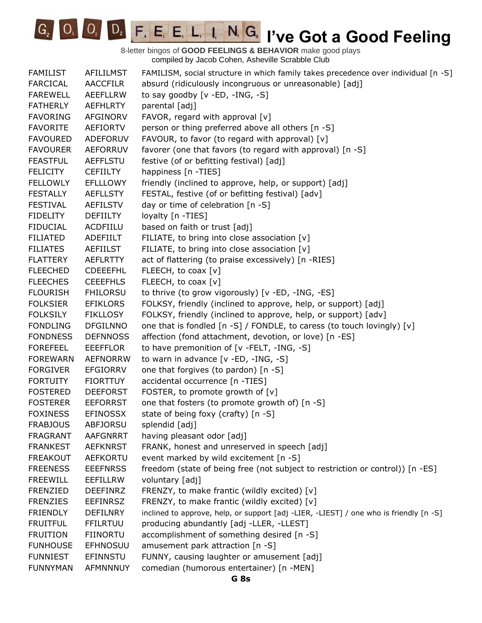**O**, **D**, **F**, **E**, **E**, **L**, **I**, **N**, **G**, **I**'ve Got a Good Feeling  $G<sub>2</sub>$ 

| <b>FAMILIST</b> | AFILILMST       | FAMILISM, social structure in which family takes precedence over individual [n -S]     |
|-----------------|-----------------|----------------------------------------------------------------------------------------|
| <b>FARCICAL</b> | <b>AACCFILR</b> | absurd (ridiculously incongruous or unreasonable) [adj]                                |
| <b>FAREWELL</b> | <b>AEEFLLRW</b> | to say goodby $[v - ED, -ING, -S]$                                                     |
| <b>FATHERLY</b> | <b>AEFHLRTY</b> | parental [adj]                                                                         |
| <b>FAVORING</b> | <b>AFGINORV</b> | FAVOR, regard with approval [v]                                                        |
| <b>FAVORITE</b> | <b>AEFIORTV</b> | person or thing preferred above all others [n -S]                                      |
| <b>FAVOURED</b> | ADEFORUV        | FAVOUR, to favor (to regard with approval) [v]                                         |
| <b>FAVOURER</b> | <b>AEFORRUV</b> | favorer (one that favors (to regard with approval) [n -S]                              |
| <b>FEASTFUL</b> | <b>AEFFLSTU</b> | festive (of or befitting festival) [adj]                                               |
| <b>FELICITY</b> | <b>CEFIILTY</b> | happiness [n -TIES]                                                                    |
| <b>FELLOWLY</b> | <b>EFLLLOWY</b> | friendly (inclined to approve, help, or support) [adj]                                 |
| <b>FESTALLY</b> | <b>AEFLLSTY</b> | FESTAL, festive (of or befitting festival) [adv]                                       |
| <b>FESTIVAL</b> | <b>AEFILSTV</b> | day or time of celebration [n -S]                                                      |
| <b>FIDELITY</b> | <b>DEFIILTY</b> | loyalty [n -TIES]                                                                      |
| <b>FIDUCIAL</b> | ACDFIILU        | based on faith or trust [adj]                                                          |
| <b>FILIATED</b> | ADEFIILT        | FILIATE, to bring into close association [v]                                           |
| <b>FILIATES</b> | <b>AEFIILST</b> | FILIATE, to bring into close association [v]                                           |
| <b>FLATTERY</b> | <b>AEFLRTTY</b> | act of flattering (to praise excessively) [n -RIES]                                    |
| <b>FLEECHED</b> | <b>CDEEEFHL</b> | FLEECH, to coax [v]                                                                    |
| <b>FLEECHES</b> | <b>CEEEFHLS</b> | FLEECH, to coax [v]                                                                    |
| <b>FLOURISH</b> | <b>FHILORSU</b> | to thrive (to grow vigorously) [v -ED, -ING, -ES]                                      |
| <b>FOLKSIER</b> | <b>EFIKLORS</b> | FOLKSY, friendly (inclined to approve, help, or support) [adj]                         |
| <b>FOLKSILY</b> | <b>FIKLLOSY</b> | FOLKSY, friendly (inclined to approve, help, or support) [adv]                         |
| <b>FONDLING</b> | <b>DFGILNNO</b> | one that is fondled [n -S] / FONDLE, to caress (to touch lovingly) [v]                 |
| <b>FONDNESS</b> | <b>DEFNNOSS</b> | affection (fond attachment, devotion, or love) [n -ES]                                 |
| <b>FOREFEEL</b> | <b>EEEFFLOR</b> | to have premonition of [v -FELT, -ING, -S]                                             |
| <b>FOREWARN</b> | <b>AEFNORRW</b> | to warn in advance [v -ED, -ING, -S]                                                   |
| <b>FORGIVER</b> | <b>EFGIORRV</b> | one that forgives (to pardon) [n -S]                                                   |
| <b>FORTUITY</b> | <b>FIORTTUY</b> | accidental occurrence [n -TIES]                                                        |
| <b>FOSTERED</b> | <b>DEEFORST</b> | FOSTER, to promote growth of $[v]$                                                     |
| <b>FOSTERER</b> | <b>EEFORRST</b> | one that fosters (to promote growth of) [n -S]                                         |
| <b>FOXINESS</b> | <b>EFINOSSX</b> | state of being foxy (crafty) [n -S]                                                    |
| <b>FRABJOUS</b> | <b>ABFJORSU</b> | splendid [adj]                                                                         |
| <b>FRAGRANT</b> | <b>AAFGNRRT</b> | having pleasant odor [adj]                                                             |
| <b>FRANKEST</b> | <b>AEFKNRST</b> | FRANK, honest and unreserved in speech [adj]                                           |
| <b>FREAKOUT</b> | <b>AEFKORTU</b> | event marked by wild excitement [n -S]                                                 |
| <b>FREENESS</b> | <b>EEEFNRSS</b> | freedom (state of being free (not subject to restriction or control)) [n -ES]          |
| <b>FREEWILL</b> | EEFILLRW        | voluntary [adj]                                                                        |
| <b>FRENZIED</b> | <b>DEEFINRZ</b> | FRENZY, to make frantic (wildly excited) [v]                                           |
| <b>FRENZIES</b> | <b>EEFINRSZ</b> | FRENZY, to make frantic (wildly excited) [v]                                           |
| <b>FRIENDLY</b> | <b>DEFILNRY</b> | inclined to approve, help, or support [adj -LIER, -LIEST] / one who is friendly [n -S] |
| <b>FRUITFUL</b> | <b>FFILRTUU</b> | producing abundantly [adj -LLER, -LLEST]                                               |
| <b>FRUITION</b> | <b>FIINORTU</b> | accomplishment of something desired [n -S]                                             |
| <b>FUNHOUSE</b> | <b>EFHNOSUU</b> | amusement park attraction [n -S]                                                       |
| <b>FUNNIEST</b> | <b>EFINNSTU</b> | FUNNY, causing laughter or amusement [adj]                                             |
| <b>FUNNYMAN</b> | AFMNNNUY        | comedian (humorous entertainer) [n -MEN]                                               |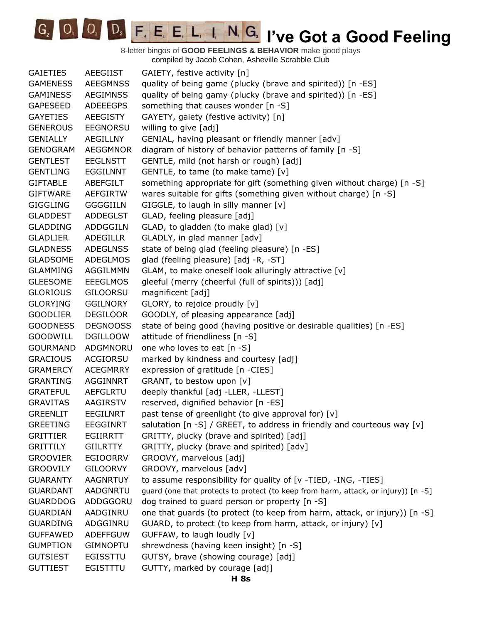**IC**<sub>2</sub> **IO**<sub>2</sub> **I**<sub>2</sub> **I**<sub>2</sub> **I**<sub>2</sub> **E**<sub>1</sub> **E**<sub>1</sub> **L**<sub>1</sub> **I**<sub>1</sub> **I**<sub>1</sub> **C**<sub>2</sub> **I**<sup>2</sup> **Ve Got a Good Feeling** 

| <b>GAIETIES</b> | <b>AEEGIIST</b> | GAIETY, festive activity [n]                                                       |
|-----------------|-----------------|------------------------------------------------------------------------------------|
| <b>GAMENESS</b> | <b>AEEGMNSS</b> | quality of being game (plucky (brave and spirited)) [n -ES]                        |
| <b>GAMINESS</b> | <b>AEGIMNSS</b> | quality of being gamy (plucky (brave and spirited)) [n -ES]                        |
| <b>GAPESEED</b> | <b>ADEEEGPS</b> | something that causes wonder [n -S]                                                |
| <b>GAYETIES</b> | AEEGISTY        | GAYETY, gaiety (festive activity) [n]                                              |
| <b>GENEROUS</b> | <b>EEGNORSU</b> | willing to give [adj]                                                              |
| <b>GENIALLY</b> | <b>AEGILLNY</b> | GENIAL, having pleasant or friendly manner [adv]                                   |
| <b>GENOGRAM</b> | <b>AEGGMNOR</b> | diagram of history of behavior patterns of family [n -S]                           |
| <b>GENTLEST</b> | <b>EEGLNSTT</b> | GENTLE, mild (not harsh or rough) [adj]                                            |
| <b>GENTLING</b> | <b>EGGILNNT</b> | GENTLE, to tame (to make tame) [v]                                                 |
| <b>GIFTABLE</b> | <b>ABEFGILT</b> | something appropriate for gift (something given without charge) [n -S]             |
| <b>GIFTWARE</b> | <b>AEFGIRTW</b> | wares suitable for gifts (something given without charge) [n -S]                   |
| <b>GIGGLING</b> | <b>GGGGIILN</b> | GIGGLE, to laugh in silly manner $[v]$                                             |
| <b>GLADDEST</b> | <b>ADDEGLST</b> | GLAD, feeling pleasure [adj]                                                       |
| <b>GLADDING</b> | <b>ADDGGILN</b> | GLAD, to gladden (to make glad) [v]                                                |
| <b>GLADLIER</b> | <b>ADEGILLR</b> | GLADLY, in glad manner [adv]                                                       |
| <b>GLADNESS</b> | <b>ADEGLNSS</b> | state of being glad (feeling pleasure) [n -ES]                                     |
| <b>GLADSOME</b> | <b>ADEGLMOS</b> | glad (feeling pleasure) [adj -R, -ST]                                              |
| <b>GLAMMING</b> | AGGILMMN        | GLAM, to make oneself look alluringly attractive [v]                               |
| <b>GLEESOME</b> | <b>EEEGLMOS</b> | gleeful (merry (cheerful (full of spirits))) [adj]                                 |
| <b>GLORIOUS</b> | <b>GILOORSU</b> | magnificent [adj]                                                                  |
| <b>GLORYING</b> | <b>GGILNORY</b> | GLORY, to rejoice proudly [v]                                                      |
| <b>GOODLIER</b> | <b>DEGILOOR</b> | GOODLY, of pleasing appearance [adj]                                               |
| <b>GOODNESS</b> | <b>DEGNOOSS</b> | state of being good (having positive or desirable qualities) [n -ES]               |
| <b>GOODWILL</b> | <b>DGILLOOW</b> | attitude of friendliness [n -S]                                                    |
| <b>GOURMAND</b> | ADGMNORU        | one who loves to eat [n -S]                                                        |
| <b>GRACIOUS</b> | ACGIORSU        | marked by kindness and courtesy [adj]                                              |
| <b>GRAMERCY</b> | <b>ACEGMRRY</b> | expression of gratitude [n -CIES]                                                  |
| <b>GRANTING</b> | AGGINNRT        | GRANT, to bestow upon [v]                                                          |
| <b>GRATEFUL</b> | AEFGLRTU        | deeply thankful [adj -LLER, -LLEST]                                                |
| <b>GRAVITAS</b> | AAGIRSTV        | reserved, dignified behavior [n -ES]                                               |
| <b>GREENLIT</b> | <b>EEGILNRT</b> | past tense of greenlight (to give approval for) [v]                                |
| <b>GREETING</b> | <b>EEGGINRT</b> | salutation $[n - S]$ / GREET, to address in friendly and courteous way $[v]$       |
| <b>GRITTIER</b> | <b>EGIIRRTT</b> | GRITTY, plucky (brave and spirited) [adj]                                          |
| <b>GRITTILY</b> | <b>GIILRTTY</b> | GRITTY, plucky (brave and spirited) [adv]                                          |
| <b>GROOVIER</b> | <b>EGIOORRV</b> | GROOVY, marvelous [adj]                                                            |
| <b>GROOVILY</b> | <b>GILOORVY</b> | GROOVY, marvelous [adv]                                                            |
| <b>GUARANTY</b> | <b>AAGNRTUY</b> | to assume responsibility for quality of [v -TIED, -ING, -TIES]                     |
| <b>GUARDANT</b> | <b>AADGNRTU</b> | guard (one that protects to protect (to keep from harm, attack, or injury)) [n -S] |
| <b>GUARDDOG</b> | ADDGGORU        | dog trained to guard person or property [n -S]                                     |
| <b>GUARDIAN</b> | AADGINRU        | one that guards (to protect (to keep from harm, attack, or injury)) [n -S]         |
| <b>GUARDING</b> | ADGGINRU        | GUARD, to protect (to keep from harm, attack, or injury) [v]                       |
| <b>GUFFAWED</b> | <b>ADEFFGUW</b> | GUFFAW, to laugh loudly [v]                                                        |
| <b>GUMPTION</b> | <b>GIMNOPTU</b> | shrewdness (having keen insight) [n -S]                                            |
| <b>GUTSIEST</b> | <b>EGISSTTU</b> | GUTSY, brave (showing courage) [adj]                                               |
| <b>GUTTIEST</b> | EGISTTTU        | GUTTY, marked by courage [adj]                                                     |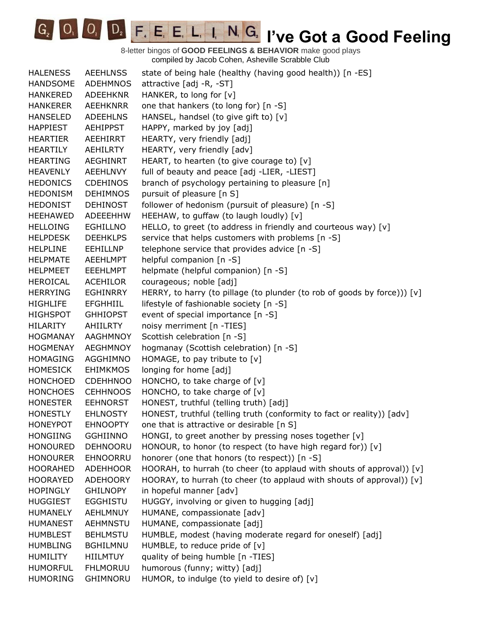| <b>HALENESS</b> | <b>AEEHLNSS</b> | state of being hale (healthy (having good health)) [n -ES]               |
|-----------------|-----------------|--------------------------------------------------------------------------|
| <b>HANDSOME</b> | <b>ADEHMNOS</b> | attractive [adj -R, -ST]                                                 |
| <b>HANKERED</b> | <b>ADEEHKNR</b> | HANKER, to long for [v]                                                  |
| <b>HANKERER</b> | <b>AEEHKNRR</b> | one that hankers (to long for) [n -S]                                    |
| <b>HANSELED</b> | <b>ADEEHLNS</b> | HANSEL, handsel (to give gift to) [v]                                    |
| <b>HAPPIEST</b> | AEHIPPST        | HAPPY, marked by joy [adj]                                               |
| <b>HEARTIER</b> | AEEHIRRT        | HEARTY, very friendly [adj]                                              |
| <b>HEARTILY</b> | AEHILRTY        | HEARTY, very friendly [adv]                                              |
| <b>HEARTING</b> | AEGHINRT        | HEART, to hearten (to give courage to) [v]                               |
| HEAVENLY        | AEEHLNVY        | full of beauty and peace [adj -LIER, -LIEST]                             |
| <b>HEDONICS</b> | <b>CDEHINOS</b> | branch of psychology pertaining to pleasure [n]                          |
| <b>HEDONISM</b> | <b>DEHIMNOS</b> | pursuit of pleasure [n S]                                                |
| <b>HEDONIST</b> | <b>DEHINOST</b> | follower of hedonism (pursuit of pleasure) [n -S]                        |
| <b>HEEHAWED</b> | <b>ADEEEHHW</b> | HEEHAW, to guffaw (to laugh loudly) [v]                                  |
| <b>HELLOING</b> | <b>EGHILLNO</b> | HELLO, to greet (to address in friendly and courteous way) [v]           |
| <b>HELPDESK</b> | <b>DEEHKLPS</b> | service that helps customers with problems [n -S]                        |
| <b>HELPLINE</b> | EEHILLNP        | telephone service that provides advice [n -S]                            |
| <b>HELPMATE</b> | <b>AEEHLMPT</b> | helpful companion [n -S]                                                 |
| <b>HELPMEET</b> | <b>EEEHLMPT</b> | helpmate (helpful companion) [n -S]                                      |
| <b>HEROICAL</b> | <b>ACEHILOR</b> | courageous; noble [adj]                                                  |
| <b>HERRYING</b> | <b>EGHINRRY</b> | HERRY, to harry (to pillage (to plunder (to rob of goods by force))) [v] |
| <b>HIGHLIFE</b> | <b>EFGHHIIL</b> | lifestyle of fashionable society [n -S]                                  |
| <b>HIGHSPOT</b> | <b>GHHIOPST</b> | event of special importance [n -S]                                       |
| <b>HILARITY</b> | <b>AHIILRTY</b> | noisy merriment [n -TIES]                                                |
| <b>HOGMANAY</b> | <b>AAGHMNOY</b> | Scottish celebration [n -S]                                              |
| <b>HOGMENAY</b> | <b>AEGHMNOY</b> | hogmanay (Scottish celebration) [n -S]                                   |
| <b>HOMAGING</b> | AGGHIMNO        | HOMAGE, to pay tribute to [v]                                            |
| <b>HOMESICK</b> | <b>EHIMKMOS</b> | longing for home [adj]                                                   |
| <b>HONCHOED</b> | <b>CDEHHNOO</b> | HONCHO, to take charge of $[v]$                                          |
| <b>HONCHOES</b> | <b>CEHHNOOS</b> | HONCHO, to take charge of $[v]$                                          |
| <b>HONESTER</b> | <b>EEHNORST</b> | HONEST, truthful (telling truth) [adj]                                   |
| <b>HONESTLY</b> | <b>EHLNOSTY</b> | HONEST, truthful (telling truth (conformity to fact or reality)) [adv]   |
| <b>HONEYPOT</b> | <b>EHNOOPTY</b> | one that is attractive or desirable [n S]                                |
| <b>HONGIING</b> | <b>GGHIINNO</b> | HONGI, to greet another by pressing noses together [v]                   |
| <b>HONOURED</b> | DEHNOORU        | HONOUR, to honor (to respect (to have high regard for)) [v]              |
| <b>HONOURER</b> | EHNOORRU        | honorer (one that honors (to respect)) [n -S]                            |
| <b>HOORAHED</b> | <b>ADEHHOOR</b> | HOORAH, to hurrah (to cheer (to applaud with shouts of approval)) [v]    |
| <b>HOORAYED</b> | <b>ADEHOORY</b> | HOORAY, to hurrah (to cheer (to applaud with shouts of approval)) [v]    |
| <b>HOPINGLY</b> | <b>GHILNOPY</b> | in hopeful manner [adv]                                                  |
| <b>HUGGIEST</b> | <b>EGGHISTU</b> | HUGGY, involving or given to hugging [adj]                               |
| <b>HUMANELY</b> | <b>AEHLMNUY</b> | HUMANE, compassionate [adv]                                              |
| <b>HUMANEST</b> | <b>AEHMNSTU</b> | HUMANE, compassionate [adj]                                              |
| <b>HUMBLEST</b> | <b>BEHLMSTU</b> | HUMBLE, modest (having moderate regard for oneself) [adj]                |
| <b>HUMBLING</b> | <b>BGHILMNU</b> | HUMBLE, to reduce pride of [v]                                           |
| <b>HUMILITY</b> | HIILMTUY        | quality of being humble [n -TIES]                                        |
| <b>HUMORFUL</b> | <b>FHLMORUU</b> | humorous (funny; witty) [adj]                                            |
| <b>HUMORING</b> | GHIMNORU        | HUMOR, to indulge (to yield to desire of) [v]                            |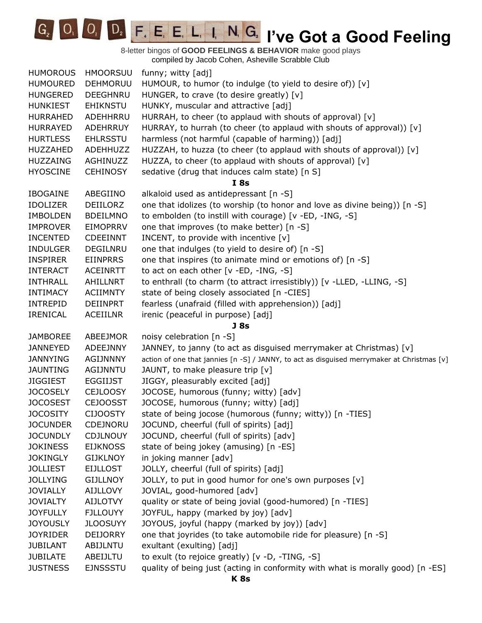

| funny; witty [adj]<br><b>HUMOURED</b><br>DEHMORUU<br>HUMOUR, to humor (to indulge (to yield to desire of)) [v]<br>HUNGER, to crave (to desire greatly) [v]<br><b>HUNGERED</b><br><b>DEEGHNRU</b><br><b>HUNKIEST</b><br>HUNKY, muscular and attractive [adj]<br><b>EHIKNSTU</b><br>ADEHHRRU<br>HURRAH, to cheer (to applaud with shouts of approval) [v]<br><b>HURRAHED</b><br>HURRAY, to hurrah (to cheer (to applaud with shouts of approval)) [v]<br><b>HURRAYED</b><br>ADEHRRUY<br><b>HURTLESS</b><br><b>EHLRSSTU</b><br>harmless (not harmful (capable of harming)) [adj]<br>HUZZAH, to huzza (to cheer (to applaud with shouts of approval)) [v]<br>HUZZAHED<br>ADEHHUZZ<br>HUZZA, to cheer (to applaud with shouts of approval) [v]<br><b>HUZZAING</b><br>AGHINUZZ<br><b>HYOSCINE</b><br><b>CEHINOSY</b><br>sedative (drug that induces calm state) [n S]<br>I8s<br>alkaloid used as antidepressant [n -S]<br><b>IBOGAINE</b><br>ABEGIINO<br>one that idolizes (to worship (to honor and love as divine being)) [n -S]<br><b>IDOLIZER</b><br>DEIILORZ<br>to embolden (to instill with courage) [v -ED, -ING, -S]<br><b>IMBOLDEN</b><br><b>BDEILMNO</b><br>one that improves (to make better) [n -S]<br><b>IMPROVER</b><br><b>EIMOPRRV</b><br>INCENT, to provide with incentive $[v]$<br><b>INCENTED</b><br><b>CDEEINNT</b><br><b>INDULGER</b><br>DEGILNRU<br>one that indulges (to yield to desire of) [n -S]<br>one that inspires (to animate mind or emotions of) [n -S]<br><b>INSPIRER</b><br><b>EIINPRRS</b><br>to act on each other $[v - ED, -ING, -S]$<br><b>INTERACT</b><br><b>ACEINRTT</b><br>to enthrall (to charm (to attract irresistibly)) [v -LLED, -LLING, -S]<br><b>INTHRALL</b><br>AHILLNRT<br>state of being closely associated [n -CIES]<br><b>INTIMACY</b><br><b>ACIIMNTY</b><br><b>INTREPID</b><br>fearless (unafraid (filled with apprehension)) [adj]<br><b>DEIINPRT</b><br>irenic (peaceful in purpose) [adj]<br><b>IRENICAL</b><br><b>ACEIILNR</b><br>J <sub>8s</sub><br><b>JAMBOREE</b><br>ABEEJMOR<br>noisy celebration [n -S]<br>JANNEY, to janny (to act as disguised merrymaker at Christmas) [v]<br><b>JANNEYED</b><br>ADEEJNNY<br><b>JANNYING</b><br>AGIJNNNY<br>action of one that jannies [n -S] / JANNY, to act as disguised merrymaker at Christmas [v]<br>AGIJNNTU<br>JAUNT, to make pleasure trip [v]<br><b>JAUNTING</b><br>JIGGY, pleasurably excited [adj]<br><b>JIGGIEST</b><br><b>EGGIIJST</b><br>JOCOSE, humorous (funny; witty) [adv]<br><b>JOCOSELY</b><br><b>CEJLOOSY</b><br>JOCOSE, humorous (funny; witty) [adj]<br><b>JOCOSEST</b><br><b>CEJOOSST</b><br><b>JOCOSITY</b><br>state of being jocose (humorous (funny; witty)) [n -TIES]<br><b>CIJOOSTY</b><br>CDEJNORU<br><b>JOCUNDER</b><br>JOCUND, cheerful (full of spirits) [adj]<br>JOCUND, cheerful (full of spirits) [adv]<br><b>JOCUNDLY</b><br><b>CDJLNOUY</b><br><b>JOKINESS</b><br>state of being jokey (amusing) [n -ES]<br><b>EIJKNOSS</b><br>in joking manner [adv]<br><b>JOKINGLY</b><br><b>GIJKLNOY</b><br>JOLLY, cheerful (full of spirits) [adj]<br><b>JOLLIEST</b><br><b>EIJLLOST</b><br>JOLLY, to put in good humor for one's own purposes [v]<br><b>JOLLYING</b><br><b>GIJLLNOY</b> |
|---------------------------------------------------------------------------------------------------------------------------------------------------------------------------------------------------------------------------------------------------------------------------------------------------------------------------------------------------------------------------------------------------------------------------------------------------------------------------------------------------------------------------------------------------------------------------------------------------------------------------------------------------------------------------------------------------------------------------------------------------------------------------------------------------------------------------------------------------------------------------------------------------------------------------------------------------------------------------------------------------------------------------------------------------------------------------------------------------------------------------------------------------------------------------------------------------------------------------------------------------------------------------------------------------------------------------------------------------------------------------------------------------------------------------------------------------------------------------------------------------------------------------------------------------------------------------------------------------------------------------------------------------------------------------------------------------------------------------------------------------------------------------------------------------------------------------------------------------------------------------------------------------------------------------------------------------------------------------------------------------------------------------------------------------------------------------------------------------------------------------------------------------------------------------------------------------------------------------------------------------------------------------------------------------------------------------------------------------------------------------------------------------------------------------------------------------------------------------------------------------------------------------------------------------------------------------------------------------------------------------------------------------------------------------------------------------------------------------------------------------------------------------------------------------------------------------------------------------------------------------------------------------------------------------------------------------------------------------------------------------------------------------------------------------------------------------------------------------------------------------------------------------------------------------------------------------------------|
|                                                                                                                                                                                                                                                                                                                                                                                                                                                                                                                                                                                                                                                                                                                                                                                                                                                                                                                                                                                                                                                                                                                                                                                                                                                                                                                                                                                                                                                                                                                                                                                                                                                                                                                                                                                                                                                                                                                                                                                                                                                                                                                                                                                                                                                                                                                                                                                                                                                                                                                                                                                                                                                                                                                                                                                                                                                                                                                                                                                                                                                                                                                                                                                                               |
|                                                                                                                                                                                                                                                                                                                                                                                                                                                                                                                                                                                                                                                                                                                                                                                                                                                                                                                                                                                                                                                                                                                                                                                                                                                                                                                                                                                                                                                                                                                                                                                                                                                                                                                                                                                                                                                                                                                                                                                                                                                                                                                                                                                                                                                                                                                                                                                                                                                                                                                                                                                                                                                                                                                                                                                                                                                                                                                                                                                                                                                                                                                                                                                                               |
|                                                                                                                                                                                                                                                                                                                                                                                                                                                                                                                                                                                                                                                                                                                                                                                                                                                                                                                                                                                                                                                                                                                                                                                                                                                                                                                                                                                                                                                                                                                                                                                                                                                                                                                                                                                                                                                                                                                                                                                                                                                                                                                                                                                                                                                                                                                                                                                                                                                                                                                                                                                                                                                                                                                                                                                                                                                                                                                                                                                                                                                                                                                                                                                                               |
|                                                                                                                                                                                                                                                                                                                                                                                                                                                                                                                                                                                                                                                                                                                                                                                                                                                                                                                                                                                                                                                                                                                                                                                                                                                                                                                                                                                                                                                                                                                                                                                                                                                                                                                                                                                                                                                                                                                                                                                                                                                                                                                                                                                                                                                                                                                                                                                                                                                                                                                                                                                                                                                                                                                                                                                                                                                                                                                                                                                                                                                                                                                                                                                                               |
|                                                                                                                                                                                                                                                                                                                                                                                                                                                                                                                                                                                                                                                                                                                                                                                                                                                                                                                                                                                                                                                                                                                                                                                                                                                                                                                                                                                                                                                                                                                                                                                                                                                                                                                                                                                                                                                                                                                                                                                                                                                                                                                                                                                                                                                                                                                                                                                                                                                                                                                                                                                                                                                                                                                                                                                                                                                                                                                                                                                                                                                                                                                                                                                                               |
|                                                                                                                                                                                                                                                                                                                                                                                                                                                                                                                                                                                                                                                                                                                                                                                                                                                                                                                                                                                                                                                                                                                                                                                                                                                                                                                                                                                                                                                                                                                                                                                                                                                                                                                                                                                                                                                                                                                                                                                                                                                                                                                                                                                                                                                                                                                                                                                                                                                                                                                                                                                                                                                                                                                                                                                                                                                                                                                                                                                                                                                                                                                                                                                                               |
|                                                                                                                                                                                                                                                                                                                                                                                                                                                                                                                                                                                                                                                                                                                                                                                                                                                                                                                                                                                                                                                                                                                                                                                                                                                                                                                                                                                                                                                                                                                                                                                                                                                                                                                                                                                                                                                                                                                                                                                                                                                                                                                                                                                                                                                                                                                                                                                                                                                                                                                                                                                                                                                                                                                                                                                                                                                                                                                                                                                                                                                                                                                                                                                                               |
|                                                                                                                                                                                                                                                                                                                                                                                                                                                                                                                                                                                                                                                                                                                                                                                                                                                                                                                                                                                                                                                                                                                                                                                                                                                                                                                                                                                                                                                                                                                                                                                                                                                                                                                                                                                                                                                                                                                                                                                                                                                                                                                                                                                                                                                                                                                                                                                                                                                                                                                                                                                                                                                                                                                                                                                                                                                                                                                                                                                                                                                                                                                                                                                                               |
|                                                                                                                                                                                                                                                                                                                                                                                                                                                                                                                                                                                                                                                                                                                                                                                                                                                                                                                                                                                                                                                                                                                                                                                                                                                                                                                                                                                                                                                                                                                                                                                                                                                                                                                                                                                                                                                                                                                                                                                                                                                                                                                                                                                                                                                                                                                                                                                                                                                                                                                                                                                                                                                                                                                                                                                                                                                                                                                                                                                                                                                                                                                                                                                                               |
|                                                                                                                                                                                                                                                                                                                                                                                                                                                                                                                                                                                                                                                                                                                                                                                                                                                                                                                                                                                                                                                                                                                                                                                                                                                                                                                                                                                                                                                                                                                                                                                                                                                                                                                                                                                                                                                                                                                                                                                                                                                                                                                                                                                                                                                                                                                                                                                                                                                                                                                                                                                                                                                                                                                                                                                                                                                                                                                                                                                                                                                                                                                                                                                                               |
|                                                                                                                                                                                                                                                                                                                                                                                                                                                                                                                                                                                                                                                                                                                                                                                                                                                                                                                                                                                                                                                                                                                                                                                                                                                                                                                                                                                                                                                                                                                                                                                                                                                                                                                                                                                                                                                                                                                                                                                                                                                                                                                                                                                                                                                                                                                                                                                                                                                                                                                                                                                                                                                                                                                                                                                                                                                                                                                                                                                                                                                                                                                                                                                                               |
|                                                                                                                                                                                                                                                                                                                                                                                                                                                                                                                                                                                                                                                                                                                                                                                                                                                                                                                                                                                                                                                                                                                                                                                                                                                                                                                                                                                                                                                                                                                                                                                                                                                                                                                                                                                                                                                                                                                                                                                                                                                                                                                                                                                                                                                                                                                                                                                                                                                                                                                                                                                                                                                                                                                                                                                                                                                                                                                                                                                                                                                                                                                                                                                                               |
|                                                                                                                                                                                                                                                                                                                                                                                                                                                                                                                                                                                                                                                                                                                                                                                                                                                                                                                                                                                                                                                                                                                                                                                                                                                                                                                                                                                                                                                                                                                                                                                                                                                                                                                                                                                                                                                                                                                                                                                                                                                                                                                                                                                                                                                                                                                                                                                                                                                                                                                                                                                                                                                                                                                                                                                                                                                                                                                                                                                                                                                                                                                                                                                                               |
|                                                                                                                                                                                                                                                                                                                                                                                                                                                                                                                                                                                                                                                                                                                                                                                                                                                                                                                                                                                                                                                                                                                                                                                                                                                                                                                                                                                                                                                                                                                                                                                                                                                                                                                                                                                                                                                                                                                                                                                                                                                                                                                                                                                                                                                                                                                                                                                                                                                                                                                                                                                                                                                                                                                                                                                                                                                                                                                                                                                                                                                                                                                                                                                                               |
|                                                                                                                                                                                                                                                                                                                                                                                                                                                                                                                                                                                                                                                                                                                                                                                                                                                                                                                                                                                                                                                                                                                                                                                                                                                                                                                                                                                                                                                                                                                                                                                                                                                                                                                                                                                                                                                                                                                                                                                                                                                                                                                                                                                                                                                                                                                                                                                                                                                                                                                                                                                                                                                                                                                                                                                                                                                                                                                                                                                                                                                                                                                                                                                                               |
|                                                                                                                                                                                                                                                                                                                                                                                                                                                                                                                                                                                                                                                                                                                                                                                                                                                                                                                                                                                                                                                                                                                                                                                                                                                                                                                                                                                                                                                                                                                                                                                                                                                                                                                                                                                                                                                                                                                                                                                                                                                                                                                                                                                                                                                                                                                                                                                                                                                                                                                                                                                                                                                                                                                                                                                                                                                                                                                                                                                                                                                                                                                                                                                                               |
|                                                                                                                                                                                                                                                                                                                                                                                                                                                                                                                                                                                                                                                                                                                                                                                                                                                                                                                                                                                                                                                                                                                                                                                                                                                                                                                                                                                                                                                                                                                                                                                                                                                                                                                                                                                                                                                                                                                                                                                                                                                                                                                                                                                                                                                                                                                                                                                                                                                                                                                                                                                                                                                                                                                                                                                                                                                                                                                                                                                                                                                                                                                                                                                                               |
|                                                                                                                                                                                                                                                                                                                                                                                                                                                                                                                                                                                                                                                                                                                                                                                                                                                                                                                                                                                                                                                                                                                                                                                                                                                                                                                                                                                                                                                                                                                                                                                                                                                                                                                                                                                                                                                                                                                                                                                                                                                                                                                                                                                                                                                                                                                                                                                                                                                                                                                                                                                                                                                                                                                                                                                                                                                                                                                                                                                                                                                                                                                                                                                                               |
|                                                                                                                                                                                                                                                                                                                                                                                                                                                                                                                                                                                                                                                                                                                                                                                                                                                                                                                                                                                                                                                                                                                                                                                                                                                                                                                                                                                                                                                                                                                                                                                                                                                                                                                                                                                                                                                                                                                                                                                                                                                                                                                                                                                                                                                                                                                                                                                                                                                                                                                                                                                                                                                                                                                                                                                                                                                                                                                                                                                                                                                                                                                                                                                                               |
|                                                                                                                                                                                                                                                                                                                                                                                                                                                                                                                                                                                                                                                                                                                                                                                                                                                                                                                                                                                                                                                                                                                                                                                                                                                                                                                                                                                                                                                                                                                                                                                                                                                                                                                                                                                                                                                                                                                                                                                                                                                                                                                                                                                                                                                                                                                                                                                                                                                                                                                                                                                                                                                                                                                                                                                                                                                                                                                                                                                                                                                                                                                                                                                                               |
|                                                                                                                                                                                                                                                                                                                                                                                                                                                                                                                                                                                                                                                                                                                                                                                                                                                                                                                                                                                                                                                                                                                                                                                                                                                                                                                                                                                                                                                                                                                                                                                                                                                                                                                                                                                                                                                                                                                                                                                                                                                                                                                                                                                                                                                                                                                                                                                                                                                                                                                                                                                                                                                                                                                                                                                                                                                                                                                                                                                                                                                                                                                                                                                                               |
|                                                                                                                                                                                                                                                                                                                                                                                                                                                                                                                                                                                                                                                                                                                                                                                                                                                                                                                                                                                                                                                                                                                                                                                                                                                                                                                                                                                                                                                                                                                                                                                                                                                                                                                                                                                                                                                                                                                                                                                                                                                                                                                                                                                                                                                                                                                                                                                                                                                                                                                                                                                                                                                                                                                                                                                                                                                                                                                                                                                                                                                                                                                                                                                                               |
|                                                                                                                                                                                                                                                                                                                                                                                                                                                                                                                                                                                                                                                                                                                                                                                                                                                                                                                                                                                                                                                                                                                                                                                                                                                                                                                                                                                                                                                                                                                                                                                                                                                                                                                                                                                                                                                                                                                                                                                                                                                                                                                                                                                                                                                                                                                                                                                                                                                                                                                                                                                                                                                                                                                                                                                                                                                                                                                                                                                                                                                                                                                                                                                                               |
|                                                                                                                                                                                                                                                                                                                                                                                                                                                                                                                                                                                                                                                                                                                                                                                                                                                                                                                                                                                                                                                                                                                                                                                                                                                                                                                                                                                                                                                                                                                                                                                                                                                                                                                                                                                                                                                                                                                                                                                                                                                                                                                                                                                                                                                                                                                                                                                                                                                                                                                                                                                                                                                                                                                                                                                                                                                                                                                                                                                                                                                                                                                                                                                                               |
|                                                                                                                                                                                                                                                                                                                                                                                                                                                                                                                                                                                                                                                                                                                                                                                                                                                                                                                                                                                                                                                                                                                                                                                                                                                                                                                                                                                                                                                                                                                                                                                                                                                                                                                                                                                                                                                                                                                                                                                                                                                                                                                                                                                                                                                                                                                                                                                                                                                                                                                                                                                                                                                                                                                                                                                                                                                                                                                                                                                                                                                                                                                                                                                                               |
|                                                                                                                                                                                                                                                                                                                                                                                                                                                                                                                                                                                                                                                                                                                                                                                                                                                                                                                                                                                                                                                                                                                                                                                                                                                                                                                                                                                                                                                                                                                                                                                                                                                                                                                                                                                                                                                                                                                                                                                                                                                                                                                                                                                                                                                                                                                                                                                                                                                                                                                                                                                                                                                                                                                                                                                                                                                                                                                                                                                                                                                                                                                                                                                                               |
|                                                                                                                                                                                                                                                                                                                                                                                                                                                                                                                                                                                                                                                                                                                                                                                                                                                                                                                                                                                                                                                                                                                                                                                                                                                                                                                                                                                                                                                                                                                                                                                                                                                                                                                                                                                                                                                                                                                                                                                                                                                                                                                                                                                                                                                                                                                                                                                                                                                                                                                                                                                                                                                                                                                                                                                                                                                                                                                                                                                                                                                                                                                                                                                                               |
|                                                                                                                                                                                                                                                                                                                                                                                                                                                                                                                                                                                                                                                                                                                                                                                                                                                                                                                                                                                                                                                                                                                                                                                                                                                                                                                                                                                                                                                                                                                                                                                                                                                                                                                                                                                                                                                                                                                                                                                                                                                                                                                                                                                                                                                                                                                                                                                                                                                                                                                                                                                                                                                                                                                                                                                                                                                                                                                                                                                                                                                                                                                                                                                                               |
|                                                                                                                                                                                                                                                                                                                                                                                                                                                                                                                                                                                                                                                                                                                                                                                                                                                                                                                                                                                                                                                                                                                                                                                                                                                                                                                                                                                                                                                                                                                                                                                                                                                                                                                                                                                                                                                                                                                                                                                                                                                                                                                                                                                                                                                                                                                                                                                                                                                                                                                                                                                                                                                                                                                                                                                                                                                                                                                                                                                                                                                                                                                                                                                                               |
|                                                                                                                                                                                                                                                                                                                                                                                                                                                                                                                                                                                                                                                                                                                                                                                                                                                                                                                                                                                                                                                                                                                                                                                                                                                                                                                                                                                                                                                                                                                                                                                                                                                                                                                                                                                                                                                                                                                                                                                                                                                                                                                                                                                                                                                                                                                                                                                                                                                                                                                                                                                                                                                                                                                                                                                                                                                                                                                                                                                                                                                                                                                                                                                                               |
|                                                                                                                                                                                                                                                                                                                                                                                                                                                                                                                                                                                                                                                                                                                                                                                                                                                                                                                                                                                                                                                                                                                                                                                                                                                                                                                                                                                                                                                                                                                                                                                                                                                                                                                                                                                                                                                                                                                                                                                                                                                                                                                                                                                                                                                                                                                                                                                                                                                                                                                                                                                                                                                                                                                                                                                                                                                                                                                                                                                                                                                                                                                                                                                                               |
|                                                                                                                                                                                                                                                                                                                                                                                                                                                                                                                                                                                                                                                                                                                                                                                                                                                                                                                                                                                                                                                                                                                                                                                                                                                                                                                                                                                                                                                                                                                                                                                                                                                                                                                                                                                                                                                                                                                                                                                                                                                                                                                                                                                                                                                                                                                                                                                                                                                                                                                                                                                                                                                                                                                                                                                                                                                                                                                                                                                                                                                                                                                                                                                                               |
|                                                                                                                                                                                                                                                                                                                                                                                                                                                                                                                                                                                                                                                                                                                                                                                                                                                                                                                                                                                                                                                                                                                                                                                                                                                                                                                                                                                                                                                                                                                                                                                                                                                                                                                                                                                                                                                                                                                                                                                                                                                                                                                                                                                                                                                                                                                                                                                                                                                                                                                                                                                                                                                                                                                                                                                                                                                                                                                                                                                                                                                                                                                                                                                                               |
|                                                                                                                                                                                                                                                                                                                                                                                                                                                                                                                                                                                                                                                                                                                                                                                                                                                                                                                                                                                                                                                                                                                                                                                                                                                                                                                                                                                                                                                                                                                                                                                                                                                                                                                                                                                                                                                                                                                                                                                                                                                                                                                                                                                                                                                                                                                                                                                                                                                                                                                                                                                                                                                                                                                                                                                                                                                                                                                                                                                                                                                                                                                                                                                                               |
|                                                                                                                                                                                                                                                                                                                                                                                                                                                                                                                                                                                                                                                                                                                                                                                                                                                                                                                                                                                                                                                                                                                                                                                                                                                                                                                                                                                                                                                                                                                                                                                                                                                                                                                                                                                                                                                                                                                                                                                                                                                                                                                                                                                                                                                                                                                                                                                                                                                                                                                                                                                                                                                                                                                                                                                                                                                                                                                                                                                                                                                                                                                                                                                                               |
|                                                                                                                                                                                                                                                                                                                                                                                                                                                                                                                                                                                                                                                                                                                                                                                                                                                                                                                                                                                                                                                                                                                                                                                                                                                                                                                                                                                                                                                                                                                                                                                                                                                                                                                                                                                                                                                                                                                                                                                                                                                                                                                                                                                                                                                                                                                                                                                                                                                                                                                                                                                                                                                                                                                                                                                                                                                                                                                                                                                                                                                                                                                                                                                                               |
|                                                                                                                                                                                                                                                                                                                                                                                                                                                                                                                                                                                                                                                                                                                                                                                                                                                                                                                                                                                                                                                                                                                                                                                                                                                                                                                                                                                                                                                                                                                                                                                                                                                                                                                                                                                                                                                                                                                                                                                                                                                                                                                                                                                                                                                                                                                                                                                                                                                                                                                                                                                                                                                                                                                                                                                                                                                                                                                                                                                                                                                                                                                                                                                                               |
| JOVIAL, good-humored [adv]<br><b>JOVIALLY</b><br><b>AIJLLOVY</b>                                                                                                                                                                                                                                                                                                                                                                                                                                                                                                                                                                                                                                                                                                                                                                                                                                                                                                                                                                                                                                                                                                                                                                                                                                                                                                                                                                                                                                                                                                                                                                                                                                                                                                                                                                                                                                                                                                                                                                                                                                                                                                                                                                                                                                                                                                                                                                                                                                                                                                                                                                                                                                                                                                                                                                                                                                                                                                                                                                                                                                                                                                                                              |
| quality or state of being jovial (good-humored) [n -TIES]<br><b>JOVIALTY</b><br><b>AIJLOTVY</b>                                                                                                                                                                                                                                                                                                                                                                                                                                                                                                                                                                                                                                                                                                                                                                                                                                                                                                                                                                                                                                                                                                                                                                                                                                                                                                                                                                                                                                                                                                                                                                                                                                                                                                                                                                                                                                                                                                                                                                                                                                                                                                                                                                                                                                                                                                                                                                                                                                                                                                                                                                                                                                                                                                                                                                                                                                                                                                                                                                                                                                                                                                               |
| <b>JOYFULLY</b><br><b>FJLLOUYY</b><br>JOYFUL, happy (marked by joy) [adv]                                                                                                                                                                                                                                                                                                                                                                                                                                                                                                                                                                                                                                                                                                                                                                                                                                                                                                                                                                                                                                                                                                                                                                                                                                                                                                                                                                                                                                                                                                                                                                                                                                                                                                                                                                                                                                                                                                                                                                                                                                                                                                                                                                                                                                                                                                                                                                                                                                                                                                                                                                                                                                                                                                                                                                                                                                                                                                                                                                                                                                                                                                                                     |
| JOYOUS, joyful (happy (marked by joy)) [adv]<br><b>JOYOUSLY</b><br><b>JLOOSUYY</b>                                                                                                                                                                                                                                                                                                                                                                                                                                                                                                                                                                                                                                                                                                                                                                                                                                                                                                                                                                                                                                                                                                                                                                                                                                                                                                                                                                                                                                                                                                                                                                                                                                                                                                                                                                                                                                                                                                                                                                                                                                                                                                                                                                                                                                                                                                                                                                                                                                                                                                                                                                                                                                                                                                                                                                                                                                                                                                                                                                                                                                                                                                                            |
| one that joyrides (to take automobile ride for pleasure) [n -S]<br><b>JOYRIDER</b><br><b>DEIJORRY</b>                                                                                                                                                                                                                                                                                                                                                                                                                                                                                                                                                                                                                                                                                                                                                                                                                                                                                                                                                                                                                                                                                                                                                                                                                                                                                                                                                                                                                                                                                                                                                                                                                                                                                                                                                                                                                                                                                                                                                                                                                                                                                                                                                                                                                                                                                                                                                                                                                                                                                                                                                                                                                                                                                                                                                                                                                                                                                                                                                                                                                                                                                                         |
| <b>JUBILANT</b><br>ABIJLNTU<br>exultant (exulting) [adj]                                                                                                                                                                                                                                                                                                                                                                                                                                                                                                                                                                                                                                                                                                                                                                                                                                                                                                                                                                                                                                                                                                                                                                                                                                                                                                                                                                                                                                                                                                                                                                                                                                                                                                                                                                                                                                                                                                                                                                                                                                                                                                                                                                                                                                                                                                                                                                                                                                                                                                                                                                                                                                                                                                                                                                                                                                                                                                                                                                                                                                                                                                                                                      |
| <b>JUBILATE</b><br>ABEIJLTU<br>to exult (to rejoice greatly) [v -D, -TING, -S]                                                                                                                                                                                                                                                                                                                                                                                                                                                                                                                                                                                                                                                                                                                                                                                                                                                                                                                                                                                                                                                                                                                                                                                                                                                                                                                                                                                                                                                                                                                                                                                                                                                                                                                                                                                                                                                                                                                                                                                                                                                                                                                                                                                                                                                                                                                                                                                                                                                                                                                                                                                                                                                                                                                                                                                                                                                                                                                                                                                                                                                                                                                                |
| quality of being just (acting in conformity with what is morally good) [n -ES]<br><b>JUSTNESS</b><br><b>EJNSSSTU</b>                                                                                                                                                                                                                                                                                                                                                                                                                                                                                                                                                                                                                                                                                                                                                                                                                                                                                                                                                                                                                                                                                                                                                                                                                                                                                                                                                                                                                                                                                                                                                                                                                                                                                                                                                                                                                                                                                                                                                                                                                                                                                                                                                                                                                                                                                                                                                                                                                                                                                                                                                                                                                                                                                                                                                                                                                                                                                                                                                                                                                                                                                          |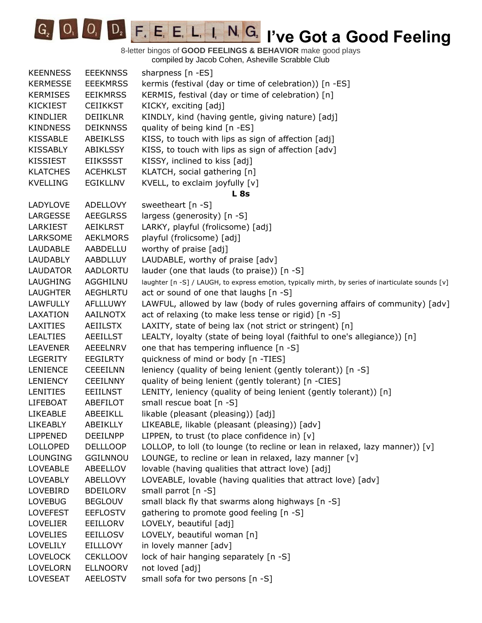

| <b>KEENNESS</b> | <b>EEEKNNSS</b> | sharpness [n -ES]                                                                                  |
|-----------------|-----------------|----------------------------------------------------------------------------------------------------|
| <b>KERMESSE</b> | <b>EEEKMRSS</b> | kermis (festival (day or time of celebration)) [n -ES]                                             |
| <b>KERMISES</b> | <b>EEIKMRSS</b> | KERMIS, festival (day or time of celebration) [n]                                                  |
| <b>KICKIEST</b> | <b>CEIIKKST</b> | KICKY, exciting [adj]                                                                              |
| <b>KINDLIER</b> | <b>DEIIKLNR</b> | KINDLY, kind (having gentle, giving nature) [adj]                                                  |
| <b>KINDNESS</b> | <b>DEIKNNSS</b> | quality of being kind [n -ES]                                                                      |
| <b>KISSABLE</b> | <b>ABEIKLSS</b> | KISS, to touch with lips as sign of affection [adj]                                                |
| <b>KISSABLY</b> | <b>ABIKLSSY</b> | KISS, to touch with lips as sign of affection [adv]                                                |
| <b>KISSIEST</b> | <b>EIIKSSST</b> | KISSY, inclined to kiss [adj]                                                                      |
| <b>KLATCHES</b> | <b>ACEHKLST</b> | KLATCH, social gathering [n]                                                                       |
| <b>KVELLING</b> | <b>EGIKLLNV</b> | KVELL, to exclaim joyfully [v]                                                                     |
|                 |                 | L 8s                                                                                               |
| LADYLOVE        | <b>ADELLOVY</b> | sweetheart [n -S]                                                                                  |
| LARGESSE        | <b>AEEGLRSS</b> | largess (generosity) [n -S]                                                                        |
| LARKIEST        | <b>AEIKLRST</b> | LARKY, playful (frolicsome) [adj]                                                                  |
| LARKSOME        | <b>AEKLMORS</b> | playful (frolicsome) [adj]                                                                         |
| <b>LAUDABLE</b> | AABDELLU        | worthy of praise [adj]                                                                             |
| <b>LAUDABLY</b> | <b>AABDLLUY</b> | LAUDABLE, worthy of praise [adv]                                                                   |
| <b>LAUDATOR</b> | AADLORTU        | lauder (one that lauds (to praise)) [n -S]                                                         |
| LAUGHING        | AGGHILNU        | laughter [n -S] / LAUGH, to express emotion, typically mirth, by series of inarticulate sounds [v] |
| <b>LAUGHTER</b> | <b>AEGHLRTU</b> | act or sound of one that laughs [n -S]                                                             |
| <b>LAWFULLY</b> | <b>AFLLLUWY</b> | LAWFUL, allowed by law (body of rules governing affairs of community) [adv]                        |
| LAXATION        | <b>AAILNOTX</b> | act of relaxing (to make less tense or rigid) [n -S]                                               |
| LAXITIES        | AEIILSTX        | LAXITY, state of being lax (not strict or stringent) [n]                                           |
| <b>LEALTIES</b> | <b>AEEILLST</b> | LEALTY, loyalty (state of being loyal (faithful to one's allegiance)) [n]                          |
| <b>LEAVENER</b> | AEEELNRV        | one that has tempering influence [n -S]                                                            |
| <b>LEGERITY</b> | <b>EEGILRTY</b> | quickness of mind or body [n -TIES]                                                                |
| <b>LENIENCE</b> | <b>CEEEILNN</b> | leniency (quality of being lenient (gently tolerant)) [n -S]                                       |
| <b>LENIENCY</b> | <b>CEEILNNY</b> | quality of being lenient (gently tolerant) [n -CIES]                                               |
| <b>LENITIES</b> | <b>EEIILNST</b> | LENITY, leniency (quality of being lenient (gently tolerant)) [n]                                  |
| <b>LIFEBOAT</b> | ABEFILOT        | small rescue boat [n -S]                                                                           |
| <b>LIKEABLE</b> | ABEEIKLL        | likable (pleasant (pleasing)) [adj]                                                                |
| LIKEABLY        | <b>ABEIKLLY</b> | LIKEABLE, likable (pleasant (pleasing)) [adv]                                                      |
| <b>LIPPENED</b> | <b>DEEILNPP</b> | LIPPEN, to trust (to place confidence in) $[v]$                                                    |
| <b>LOLLOPED</b> | <b>DELLLOOP</b> | LOLLOP, to loll (to lounge (to recline or lean in relaxed, lazy manner)) [v]                       |
| <b>LOUNGING</b> | GGILNNOU        | LOUNGE, to recline or lean in relaxed, lazy manner [v]                                             |
| <b>LOVEABLE</b> | ABEELLOV        | lovable (having qualities that attract love) [adj]                                                 |
| <b>LOVEABLY</b> | ABELLOVY        | LOVEABLE, lovable (having qualities that attract love) [adv]                                       |
| LOVEBIRD        | <b>BDEILORV</b> | small parrot [n -S]                                                                                |
| <b>LOVEBUG</b>  | <b>BEGLOUV</b>  | small black fly that swarms along highways [n -S]                                                  |
| <b>LOVEFEST</b> | <b>EEFLOSTV</b> | gathering to promote good feeling [n -S]                                                           |
| <b>LOVELIER</b> | <b>EEILLORV</b> | LOVELY, beautiful [adj]                                                                            |
| <b>LOVELIES</b> | <b>EEILLOSV</b> | LOVELY, beautiful woman [n]                                                                        |
| <b>LOVELILY</b> | <b>EILLLOVY</b> | in lovely manner [adv]                                                                             |
| <b>LOVELOCK</b> | <b>CEKLLOOV</b> | lock of hair hanging separately [n -S]                                                             |
| LOVELORN        | <b>ELLNOORV</b> | not loved [adj]                                                                                    |
| <b>LOVESEAT</b> | <b>AEELOSTV</b> | small sofa for two persons [n -S]                                                                  |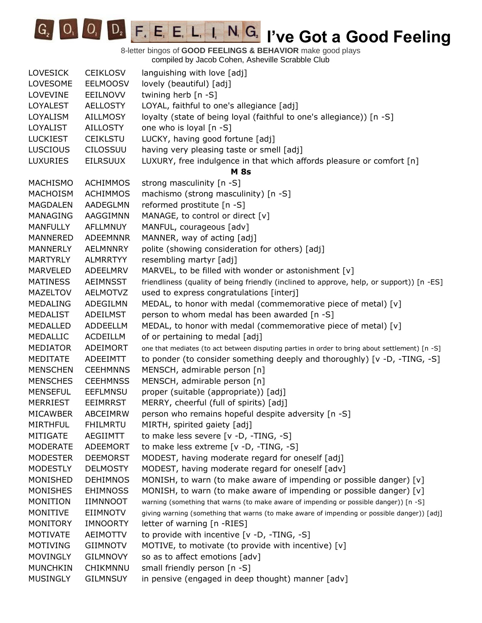

| <b>LOVESICK</b> | <b>CEIKLOSV</b> | languishing with love [adj]                                                                    |
|-----------------|-----------------|------------------------------------------------------------------------------------------------|
| LOVESOME        | <b>EELMOOSV</b> | lovely (beautiful) [adj]                                                                       |
| <b>LOVEVINE</b> | <b>EEILNOVV</b> | twining herb [n -S]                                                                            |
| <b>LOYALEST</b> | <b>AELLOSTY</b> | LOYAL, faithful to one's allegiance [adj]                                                      |
| <b>LOYALISM</b> | <b>AILLMOSY</b> | loyalty (state of being loyal (faithful to one's allegiance)) [n -S]                           |
| <b>LOYALIST</b> | <b>AILLOSTY</b> | one who is loyal [n -S]                                                                        |
| <b>LUCKIEST</b> | <b>CEIKLSTU</b> | LUCKY, having good fortune [adj]                                                               |
| <b>LUSCIOUS</b> | <b>CILOSSUU</b> | having very pleasing taste or smell [adj]                                                      |
| <b>LUXURIES</b> | <b>EILRSUUX</b> | LUXURY, free indulgence in that which affords pleasure or comfort [n]                          |
|                 |                 | <b>M</b> 8s                                                                                    |
| MACHISMO        | <b>ACHIMMOS</b> | strong masculinity [n -S]                                                                      |
| <b>MACHOISM</b> | <b>ACHIMMOS</b> | machismo (strong masculinity) [n -S]                                                           |
| <b>MAGDALEN</b> | AADEGLMN        | reformed prostitute [n -S]                                                                     |
| MANAGING        | AAGGIMNN        | MANAGE, to control or direct [v]                                                               |
| <b>MANFULLY</b> | AFLLMNUY        | MANFUL, courageous [adv]                                                                       |
| <b>MANNERED</b> | <b>ADEEMNNR</b> | MANNER, way of acting [adj]                                                                    |
| <b>MANNERLY</b> | <b>AELMNNRY</b> | polite (showing consideration for others) [adj]                                                |
| <b>MARTYRLY</b> | <b>ALMRRTYY</b> | resembling martyr [adj]                                                                        |
| <b>MARVELED</b> | ADEELMRV        | MARVEL, to be filled with wonder or astonishment [v]                                           |
| <b>MATINESS</b> | AEIMNSST        | friendliness (quality of being friendly (inclined to approve, help, or support)) [n -ES]       |
| <b>MAZELTOV</b> | <b>AELMOTVZ</b> | used to express congratulations [interj]                                                       |
| <b>MEDALING</b> | ADEGILMN        | MEDAL, to honor with medal (commemorative piece of metal) [v]                                  |
| <b>MEDALIST</b> | <b>ADEILMST</b> | person to whom medal has been awarded [n -S]                                                   |
| MEDALLED        | ADDEELLM        | MEDAL, to honor with medal (commemorative piece of metal) [v]                                  |
| <b>MEDALLIC</b> | <b>ACDEILLM</b> | of or pertaining to medal [adj]                                                                |
| MEDIATOR        | ADEIMORT        | one that mediates (to act between disputing parties in order to bring about settlement) [n -S] |
| <b>MEDITATE</b> | ADEEIMTT        | to ponder (to consider something deeply and thoroughly) [v -D, -TING, -S]                      |
| <b>MENSCHEN</b> | <b>CEEHMNNS</b> | MENSCH, admirable person [n]                                                                   |
| <b>MENSCHES</b> | <b>CEEHMNSS</b> | MENSCH, admirable person [n]                                                                   |
| <b>MENSEFUL</b> | <b>EEFLMNSU</b> | proper (suitable (appropriate)) [adj]                                                          |
| MERRIEST        | <b>EEIMRRST</b> | MERRY, cheerful (full of spirits) [adj]                                                        |
| <b>MICAWBER</b> | <b>ABCEIMRW</b> | person who remains hopeful despite adversity [n -S]                                            |
| <b>MIRTHFUL</b> | <b>FHILMRTU</b> | MIRTH, spirited gaiety [adj]                                                                   |
| <b>MITIGATE</b> | AEGIIMTT        | to make less severe [v -D, -TING, -S]                                                          |
| MODERATE        | ADEEMORT        | to make less extreme [v -D, -TING, -S]                                                         |
| <b>MODESTER</b> | <b>DEEMORST</b> | MODEST, having moderate regard for oneself [adj]                                               |
| <b>MODESTLY</b> | <b>DELMOSTY</b> | MODEST, having moderate regard for oneself [adv]                                               |
| MONISHED        | <b>DEHIMNOS</b> | MONISH, to warn (to make aware of impending or possible danger) [v]                            |
| <b>MONISHES</b> | <b>EHIMNOSS</b> | MONISH, to warn (to make aware of impending or possible danger) [v]                            |
| <b>MONITION</b> | IIMNNOOT        | warning (something that warns (to make aware of impending or possible danger)) [n -S]          |
| <b>MONITIVE</b> | <b>EIIMNOTV</b> | giving warning (something that warns (to make aware of impending or possible danger)) [adj]    |
| <b>MONITORY</b> | <b>IMNOORTY</b> | letter of warning [n -RIES]                                                                    |
| <b>MOTIVATE</b> | <b>AEIMOTTV</b> | to provide with incentive [v -D, -TING, -S]                                                    |
| <b>MOTIVING</b> | <b>GIIMNOTV</b> | MOTIVE, to motivate (to provide with incentive) [v]                                            |
| <b>MOVINGLY</b> | <b>GILMNOVY</b> | so as to affect emotions [adv]                                                                 |
| <b>MUNCHKIN</b> | <b>CHIKMNNU</b> | small friendly person [n -S]                                                                   |
| <b>MUSINGLY</b> | <b>GILMNSUY</b> | in pensive (engaged in deep thought) manner [adv]                                              |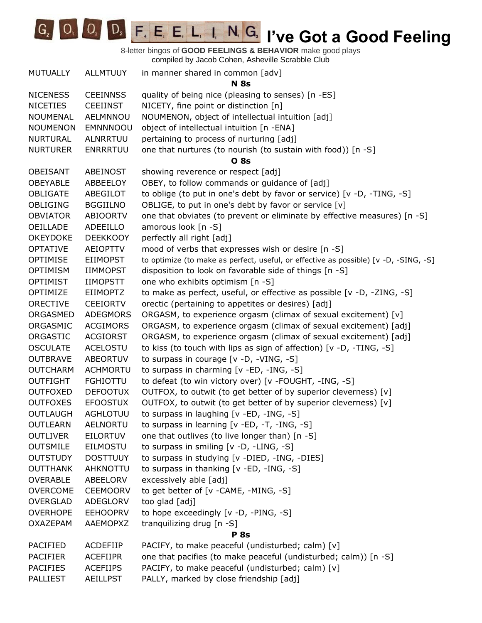

| <b>MUTUALLY</b> | <b>ALLMTUUY</b> | in manner shared in common [adv]                                                     |
|-----------------|-----------------|--------------------------------------------------------------------------------------|
|                 |                 | <b>N</b> 8s                                                                          |
| <b>NICENESS</b> | <b>CEEINNSS</b> | quality of being nice (pleasing to senses) [n -ES]                                   |
| <b>NICETIES</b> | <b>CEEIINST</b> | NICETY, fine point or distinction [n]                                                |
| <b>NOUMENAL</b> | AELMNNOU        | NOUMENON, object of intellectual intuition [adj]                                     |
| <b>NOUMENON</b> | <b>EMNNNOOU</b> | object of intellectual intuition [n -ENA]                                            |
| <b>NURTURAL</b> | ALNRRTUU        | pertaining to process of nurturing [adj]                                             |
| <b>NURTURER</b> | <b>ENRRRTUU</b> | one that nurtures (to nourish (to sustain with food)) [n -S]                         |
|                 |                 | <b>O</b> 8s                                                                          |
| <b>OBEISANT</b> | ABEINOST        | showing reverence or respect [adj]                                                   |
| OBEYABLE        | ABBEELOY        | OBEY, to follow commands or guidance of [adj]                                        |
| OBLIGATE        | ABEGILOT        | to oblige (to put in one's debt by favor or service) [v -D, -TING, -S]               |
| <b>OBLIGING</b> | <b>BGGIILNO</b> | OBLIGE, to put in one's debt by favor or service [v]                                 |
| <b>OBVIATOR</b> | ABIOORTV        | one that obviates (to prevent or eliminate by effective measures) [n -S]             |
| OEILLADE        | ADEEILLO        | amorous look [n -S]                                                                  |
| <b>OKEYDOKE</b> | <b>DEEKKOOY</b> | perfectly all right [adj]                                                            |
| <b>OPTATIVE</b> | <b>AEIOPTTV</b> | mood of verbs that expresses wish or desire [n -S]                                   |
| <b>OPTIMISE</b> | <b>EIIMOPST</b> | to optimize (to make as perfect, useful, or effective as possible) [v -D, -SING, -S] |
| <b>OPTIMISM</b> | <b>IIMMOPST</b> | disposition to look on favorable side of things [n -S]                               |
| <b>OPTIMIST</b> | <b>IIMOPSTT</b> | one who exhibits optimism [n -S]                                                     |
| OPTIMIZE        | <b>EIIMOPTZ</b> | to make as perfect, useful, or effective as possible [v -D, -ZING, -S]               |
| <b>ORECTIVE</b> | <b>CEEIORTV</b> | orectic (pertaining to appetites or desires) [adj]                                   |
| ORGASMED        | <b>ADEGMORS</b> | ORGASM, to experience orgasm (climax of sexual excitement) [v]                       |
| ORGASMIC        | <b>ACGIMORS</b> | ORGASM, to experience orgasm (climax of sexual excitement) [adj]                     |
| ORGASTIC        | <b>ACGIORST</b> | ORGASM, to experience orgasm (climax of sexual excitement) [adj]                     |
| <b>OSCULATE</b> | <b>ACELOSTU</b> | to kiss (to touch with lips as sign of affection) [v -D, -TING, -S]                  |
| <b>OUTBRAVE</b> | ABEORTUV        | to surpass in courage [v -D, -VING, -S]                                              |
| <b>OUTCHARM</b> | <b>ACHMORTU</b> | to surpass in charming [v -ED, -ING, -S]                                             |
| <b>OUTFIGHT</b> | <b>FGHIOTTU</b> | to defeat (to win victory over) [v -FOUGHT, -ING, -S]                                |
| <b>OUTFOXED</b> | <b>DEFOOTUX</b> | OUTFOX, to outwit (to get better of by superior cleverness) [v]                      |
| <b>OUTFOXES</b> | <b>EFOOSTUX</b> | OUTFOX, to outwit (to get better of by superior cleverness) [v]                      |
| <b>OUTLAUGH</b> | <b>AGHLOTUU</b> | to surpass in laughing [v -ED, -ING, -S]                                             |
| <b>OUTLEARN</b> | <b>AELNORTU</b> | to surpass in learning [v -ED, -T, -ING, -S]                                         |
| <b>OUTLIVER</b> | <b>EILORTUV</b> | one that outlives (to live longer than) [n -S]                                       |
| <b>OUTSMILE</b> | <b>EILMOSTU</b> | to surpass in smiling [v -D, -LING, -S]                                              |
| <b>OUTSTUDY</b> | <b>DOSTTUUY</b> | to surpass in studying [v -DIED, -ING, -DIES]                                        |
| <b>OUTTHANK</b> | AHKNOTTU        | to surpass in thanking [v -ED, -ING, -S]                                             |
| <b>OVERABLE</b> | ABEELORV        | excessively able [adj]                                                               |
| <b>OVERCOME</b> | <b>CEEMOORV</b> | to get better of [v -CAME, -MING, -S]                                                |
| OVERGLAD        | ADEGLORV        | too glad [adj]                                                                       |
| <b>OVERHOPE</b> | <b>EEHOOPRV</b> | to hope exceedingly [v -D, -PING, -S]                                                |
| <b>OXAZEPAM</b> | AAEMOPXZ        | tranquilizing drug [n -S]                                                            |
|                 |                 | <b>P</b> 8s                                                                          |
| <b>PACIFIED</b> | <b>ACDEFIIP</b> | PACIFY, to make peaceful (undisturbed; calm) [v]                                     |
| <b>PACIFIER</b> | <b>ACEFIIPR</b> | one that pacifies (to make peaceful (undisturbed; calm)) [n -S]                      |
| <b>PACIFIES</b> | <b>ACEFIIPS</b> | PACIFY, to make peaceful (undisturbed; calm) [v]                                     |
| PALLIEST        | <b>AEILLPST</b> | PALLY, marked by close friendship [adj]                                              |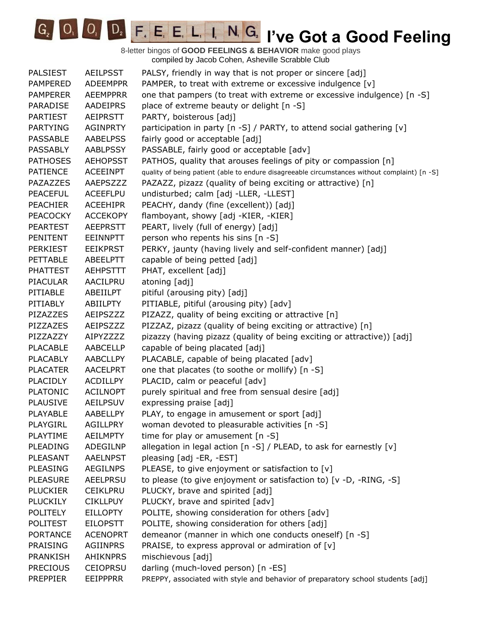

| <b>PALSIEST</b> | <b>AEILPSST</b> | PALSY, friendly in way that is not proper or sincere [adj]                                    |
|-----------------|-----------------|-----------------------------------------------------------------------------------------------|
| <b>PAMPERED</b> | <b>ADEEMPPR</b> | PAMPER, to treat with extreme or excessive indulgence [v]                                     |
| <b>PAMPERER</b> | AEEMPPRR        | one that pampers (to treat with extreme or excessive indulgence) [n -S]                       |
| <b>PARADISE</b> | <b>AADEIPRS</b> | place of extreme beauty or delight [n -S]                                                     |
| <b>PARTIEST</b> | <b>AEIPRSTT</b> | PARTY, boisterous [adj]                                                                       |
| <b>PARTYING</b> | <b>AGINPRTY</b> | participation in party [n -S] / PARTY, to attend social gathering [v]                         |
| <b>PASSABLE</b> | <b>AABELPSS</b> | fairly good or acceptable [adj]                                                               |
| <b>PASSABLY</b> | <b>AABLPSSY</b> | PASSABLE, fairly good or acceptable [adv]                                                     |
| <b>PATHOSES</b> | <b>AEHOPSST</b> | PATHOS, quality that arouses feelings of pity or compassion [n]                               |
| <b>PATIENCE</b> | <b>ACEEINPT</b> | quality of being patient (able to endure disagreeable circumstances without complaint) [n -S] |
| PAZAZZES        | AAEPSZZZ        | PAZAZZ, pizazz (quality of being exciting or attractive) [n]                                  |
| <b>PEACEFUL</b> | <b>ACEEFLPU</b> | undisturbed; calm [adj -LLER, -LLEST]                                                         |
| <b>PEACHIER</b> | <b>ACEEHIPR</b> | PEACHY, dandy (fine (excellent)) [adj]                                                        |
| <b>PEACOCKY</b> | <b>ACCEKOPY</b> | flamboyant, showy [adj -KIER, -KIER]                                                          |
| <b>PEARTEST</b> | <b>AEEPRSTT</b> | PEART, lively (full of energy) [adj]                                                          |
| PENITENT        | <b>EEINNPTT</b> | person who repents his sins [n -S]                                                            |
| <b>PERKIEST</b> | <b>EEIKPRST</b> | PERKY, jaunty (having lively and self-confident manner) [adj]                                 |
| <b>PETTABLE</b> | ABEELPTT        | capable of being petted [adj]                                                                 |
| <b>PHATTEST</b> | <b>AEHPSTTT</b> | PHAT, excellent [adj]                                                                         |
| <b>PIACULAR</b> | AACILPRU        | atoning [adj]                                                                                 |
| PITIABLE        | ABEIILPT        | pitiful (arousing pity) [adj]                                                                 |
| PITIABLY        | <b>ABIILPTY</b> | PITIABLE, pitiful (arousing pity) [adv]                                                       |
| PIZAZZES        | AEIPSZZZ        | PIZAZZ, quality of being exciting or attractive [n]                                           |
| PIZZAZES        | AEIPSZZZ        | PIZZAZ, pizazz (quality of being exciting or attractive) [n]                                  |
| PIZZAZZY        | AIPYZZZZ        | pizazzy (having pizazz (quality of being exciting or attractive)) [adj]                       |
| <b>PLACABLE</b> | <b>AABCELLP</b> | capable of being placated [adj]                                                               |
| <b>PLACABLY</b> | <b>AABCLLPY</b> | PLACABLE, capable of being placated [adv]                                                     |
| <b>PLACATER</b> | <b>AACELPRT</b> | one that placates (to soothe or mollify) [n -S]                                               |
| <b>PLACIDLY</b> | <b>ACDILLPY</b> | PLACID, calm or peaceful [adv]                                                                |
| <b>PLATONIC</b> | <b>ACILNOPT</b> | purely spiritual and free from sensual desire [adj]                                           |
| <b>PLAUSIVE</b> | <b>AEILPSUV</b> | expressing praise [adj]                                                                       |
| PLAYABLE        | AABELLPY        | PLAY, to engage in amusement or sport [adj]                                                   |
| PLAYGIRL        | <b>AGILLPRY</b> | woman devoted to pleasurable activities [n -S]                                                |
| PLAYTIME        | <b>AEILMPTY</b> | time for play or amusement [n -S]                                                             |
| PLEADING        | ADEGILNP        | allegation in legal action $[n - S]$ / PLEAD, to ask for earnestly $[v]$                      |
| PLEASANT        | <b>AAELNPST</b> | pleasing [adj -ER, -EST]                                                                      |
| PLEASING        | <b>AEGILNPS</b> | PLEASE, to give enjoyment or satisfaction to [v]                                              |
| <b>PLEASURE</b> | <b>AEELPRSU</b> | to please (to give enjoyment or satisfaction to) [v -D, -RING, -S]                            |
| <b>PLUCKIER</b> | <b>CEIKLPRU</b> | PLUCKY, brave and spirited [adj]                                                              |
| <b>PLUCKILY</b> | <b>CIKLLPUY</b> | PLUCKY, brave and spirited [adv]                                                              |
| <b>POLITELY</b> | <b>EILLOPTY</b> | POLITE, showing consideration for others [adv]                                                |
| <b>POLITEST</b> | <b>EILOPSTT</b> | POLITE, showing consideration for others [adj]                                                |
| <b>PORTANCE</b> | <b>ACENOPRT</b> | demeanor (manner in which one conducts oneself) [n -S]                                        |
| <b>PRAISING</b> | <b>AGIINPRS</b> | PRAISE, to express approval or admiration of $[v]$                                            |
| <b>PRANKISH</b> | <b>AHIKNPRS</b> | mischievous [adj]                                                                             |
| <b>PRECIOUS</b> | <b>CEIOPRSU</b> | darling (much-loved person) [n -ES]                                                           |
| <b>PREPPIER</b> | <b>EEIPPPRR</b> | PREPPY, associated with style and behavior of preparatory school students [adj]               |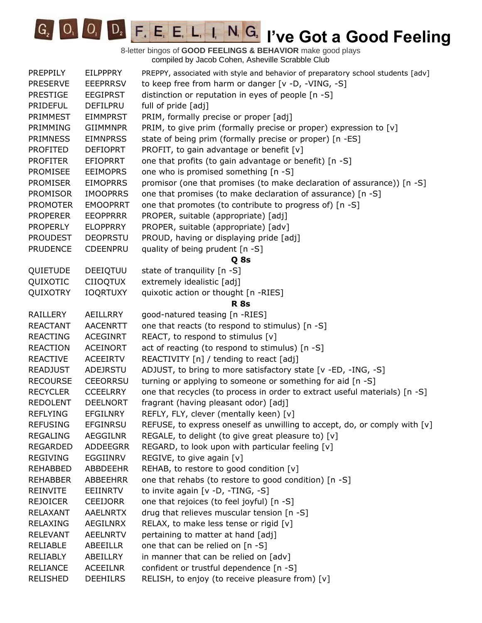

| PREPPILY        | <b>EILPPPRY</b> | PREPPY, associated with style and behavior of preparatory school students [adv] |
|-----------------|-----------------|---------------------------------------------------------------------------------|
| <b>PRESERVE</b> | <b>EEEPRRSV</b> | to keep free from harm or danger [v -D, -VING, -S]                              |
| <b>PRESTIGE</b> | <b>EEGIPRST</b> | distinction or reputation in eyes of people [n -S]                              |
| <b>PRIDEFUL</b> | DEFILPRU        | full of pride [adj]                                                             |
| PRIMMEST        | <b>EIMMPRST</b> | PRIM, formally precise or proper [adj]                                          |
| PRIMMING        | <b>GIIMMNPR</b> | PRIM, to give prim (formally precise or proper) expression to [v]               |
| <b>PRIMNESS</b> | <b>EIMNPRSS</b> | state of being prim (formally precise or proper) [n -ES]                        |
| <b>PROFITED</b> | <b>DEFIOPRT</b> | PROFIT, to gain advantage or benefit [v]                                        |
| <b>PROFITER</b> | <b>EFIOPRRT</b> | one that profits (to gain advantage or benefit) [n -S]                          |
| <b>PROMISEE</b> | <b>EEIMOPRS</b> | one who is promised something [n -S]                                            |
| <b>PROMISER</b> | <b>EIMOPRRS</b> | promisor (one that promises (to make declaration of assurance)) [n -S]          |
| <b>PROMISOR</b> | <b>IMOOPRRS</b> | one that promises (to make declaration of assurance) [n -S]                     |
| <b>PROMOTER</b> | <b>EMOOPRRT</b> | one that promotes (to contribute to progress of) [n -S]                         |
| <b>PROPERER</b> | <b>EEOPPRRR</b> | PROPER, suitable (appropriate) [adj]                                            |
| <b>PROPERLY</b> | <b>ELOPPRRY</b> | PROPER, suitable (appropriate) [adv]                                            |
| <b>PROUDEST</b> | <b>DEOPRSTU</b> | PROUD, having or displaying pride [adj]                                         |
| <b>PRUDENCE</b> | CDEENPRU        | quality of being prudent [n -S]                                                 |
|                 |                 | Q <sub>8s</sub>                                                                 |
| QUIETUDE        | DEEIQTUU        | state of tranquility [n -S]                                                     |
| QUIXOTIC        | <b>CIIOQTUX</b> | extremely idealistic [adj]                                                      |
| QUIXOTRY        | <b>IOQRTUXY</b> | quixotic action or thought [n -RIES]                                            |
|                 |                 | <b>R</b> 8s                                                                     |
| <b>RAILLERY</b> | AEILLRRY        | good-natured teasing [n -RIES]                                                  |
| <b>REACTANT</b> | <b>AACENRTT</b> | one that reacts (to respond to stimulus) [n -S]                                 |
| <b>REACTING</b> | <b>ACEGINRT</b> | REACT, to respond to stimulus [v]                                               |
| <b>REACTION</b> | <b>ACEINORT</b> | act of reacting (to respond to stimulus) [n -S]                                 |
| <b>REACTIVE</b> | <b>ACEEIRTV</b> | REACTIVITY [n] / tending to react [adj]                                         |
| <b>READJUST</b> | ADEJRSTU        | ADJUST, to bring to more satisfactory state [v -ED, -ING, -S]                   |
| <b>RECOURSE</b> | <b>CEEORRSU</b> | turning or applying to someone or something for aid [n -S]                      |
| <b>RECYCLER</b> | <b>CCEELRRY</b> | one that recycles (to process in order to extract useful materials) [n -S]      |
| <b>REDOLENT</b> | <b>DEELNORT</b> | fragrant (having pleasant odor) [adj]                                           |
| <b>REFLYING</b> | <b>EFGILNRY</b> | REFLY, FLY, clever (mentally keen) [v]                                          |
| <b>REFUSING</b> | <b>EFGINRSU</b> | REFUSE, to express oneself as unwilling to accept, do, or comply with $[v]$     |
| <b>REGALING</b> | <b>AEGGILNR</b> | REGALE, to delight (to give great pleasure to) [v]                              |
| <b>REGARDED</b> | ADDEEGRR        | REGARD, to look upon with particular feeling [v]                                |
| <b>REGIVING</b> | EGGIINRV        | REGIVE, to give again [v]                                                       |
| <b>REHABBED</b> | ABBDEEHR        | REHAB, to restore to good condition [v]                                         |
| <b>REHABBER</b> | ABBEEHRR        | one that rehabs (to restore to good condition) [n -S]                           |
| <b>REINVITE</b> | <b>EEIINRTV</b> | to invite again $[v -D, -TING, -S]$                                             |
| <b>REJOICER</b> | <b>CEEIJORR</b> | one that rejoices (to feel joyful) [n -S]                                       |
| <b>RELAXANT</b> | AAELNRTX        | drug that relieves muscular tension [n -S]                                      |
| <b>RELAXING</b> | <b>AEGILNRX</b> | RELAX, to make less tense or rigid $[v]$                                        |
| <b>RELEVANT</b> | <b>AEELNRTV</b> | pertaining to matter at hand [adj]                                              |
| <b>RELIABLE</b> | ABEEILLR        | one that can be relied on [n -S]                                                |
| <b>RELIABLY</b> | ABEILLRY        | in manner that can be relied on [adv]                                           |
| <b>RELIANCE</b> | <b>ACEEILNR</b> | confident or trustful dependence [n -S]                                         |
| <b>RELISHED</b> | <b>DEEHILRS</b> | RELISH, to enjoy (to receive pleasure from) [v]                                 |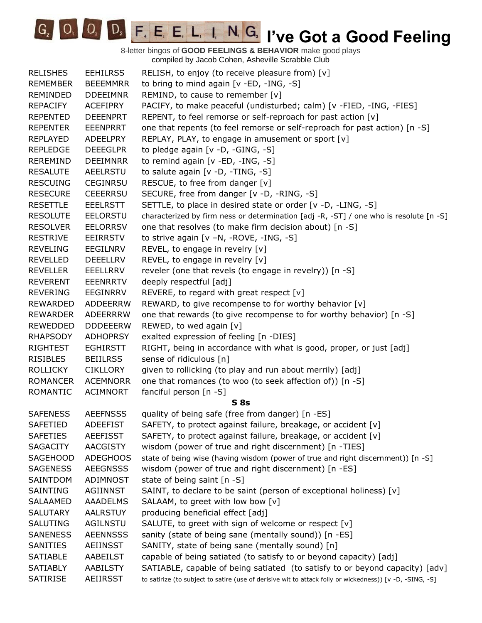| <b>RELISHES</b> | <b>EEHILRSS</b> | RELISH, to enjoy (to receive pleasure from) $[v]$                                                        |
|-----------------|-----------------|----------------------------------------------------------------------------------------------------------|
| <b>REMEMBER</b> | <b>BEEEMMRR</b> | to bring to mind again [v -ED, -ING, -S]                                                                 |
| REMINDED        | <b>DDEEIMNR</b> | REMIND, to cause to remember [v]                                                                         |
| <b>REPACIFY</b> | <b>ACEFIPRY</b> | PACIFY, to make peaceful (undisturbed; calm) [v -FIED, -ING, -FIES]                                      |
| <b>REPENTED</b> | <b>DEEENPRT</b> | REPENT, to feel remorse or self-reproach for past action [v]                                             |
| <b>REPENTER</b> | <b>EEENPRRT</b> | one that repents (to feel remorse or self-reproach for past action) [n -S]                               |
| <b>REPLAYED</b> | ADEELPRY        | REPLAY, PLAY, to engage in amusement or sport [v]                                                        |
| <b>REPLEDGE</b> | <b>DEEEGLPR</b> | to pledge again [v -D, -GING, -S]                                                                        |
| <b>REREMIND</b> | <b>DEEIMNRR</b> | to remind again [v -ED, -ING, -S]                                                                        |
| <b>RESALUTE</b> | AEELRSTU        | to salute again [v -D, -TING, -S]                                                                        |
| <b>RESCUING</b> | <b>CEGINRSU</b> | RESCUE, to free from danger [v]                                                                          |
| <b>RESECURE</b> | <b>CEEERRSU</b> | SECURE, free from danger [v -D, -RING, -S]                                                               |
| <b>RESETTLE</b> | <b>EEELRSTT</b> | SETTLE, to place in desired state or order [v -D, -LING, -S]                                             |
| <b>RESOLUTE</b> | <b>EELORSTU</b> | characterized by firm ness or determination [adj -R, -ST] / one who is resolute [n -S]                   |
| <b>RESOLVER</b> | <b>EELORRSV</b> | one that resolves (to make firm decision about) [n -S]                                                   |
| <b>RESTRIVE</b> | <b>EEIRRSTV</b> | to strive again [v $-N$ , $-ROVE$ , $-ING$ , $-S$ ]                                                      |
| <b>REVELING</b> | EEGILNRV        | REVEL, to engage in revelry [v]                                                                          |
| <b>REVELLED</b> | <b>DEEELLRV</b> | REVEL, to engage in revelry [v]                                                                          |
| <b>REVELLER</b> | <b>EEELLRRV</b> | reveler (one that revels (to engage in revelry)) [n -S]                                                  |
| <b>REVERENT</b> | <b>EEENRRTV</b> | deeply respectful [adj]                                                                                  |
| <b>REVERING</b> | EEGINRRV        | REVERE, to regard with great respect [v]                                                                 |
| <b>REWARDED</b> | ADDEERRW        | REWARD, to give recompense to for worthy behavior [v]                                                    |
| <b>REWARDER</b> | ADEERRRW        | one that rewards (to give recompense to for worthy behavior) [n -S]                                      |
| REWEDDED        | <b>DDDEEERW</b> | REWED, to wed again [v]                                                                                  |
| <b>RHAPSODY</b> | <b>ADHOPRSY</b> | exalted expression of feeling [n -DIES]                                                                  |
| <b>RIGHTEST</b> | <b>EGHIRSTT</b> | RIGHT, being in accordance with what is good, proper, or just [adj]                                      |
| <b>RISIBLES</b> | <b>BEIILRSS</b> | sense of ridiculous [n]                                                                                  |
| <b>ROLLICKY</b> | <b>CIKLLORY</b> | given to rollicking (to play and run about merrily) [adj]                                                |
| <b>ROMANCER</b> | <b>ACEMNORR</b> | one that romances (to woo (to seek affection of)) [n -S]                                                 |
| <b>ROMANTIC</b> | <b>ACIMNORT</b> | fanciful person [n -S]                                                                                   |
|                 |                 | S <sub>8s</sub>                                                                                          |
| <b>SAFENESS</b> | <b>AEEFNSSS</b> | quality of being safe (free from danger) [n -ES]                                                         |
| <b>SAFETIED</b> | <b>ADEEFIST</b> | SAFETY, to protect against failure, breakage, or accident [v]                                            |
| <b>SAFETIES</b> | <b>AEEFISST</b> | SAFETY, to protect against failure, breakage, or accident [v]                                            |
| <b>SAGACITY</b> | AACGISTY        | wisdom (power of true and right discernment) [n -TIES]                                                   |
| <b>SAGEHOOD</b> | <b>ADEGHOOS</b> | state of being wise (having wisdom (power of true and right discernment)) [n -S]                         |
| <b>SAGENESS</b> | <b>AEEGNSSS</b> | wisdom (power of true and right discernment) [n -ES]                                                     |
| SAINTDOM        | ADIMNOST        | state of being saint $[n -S]$                                                                            |
| <b>SAINTING</b> | AGIINNST        | SAINT, to declare to be saint (person of exceptional holiness) [v]                                       |
| <b>SALAAMED</b> | <b>AAADELMS</b> | SALAAM, to greet with low bow [v]                                                                        |
| <b>SALUTARY</b> | <b>AALRSTUY</b> | producing beneficial effect [adj]                                                                        |
| <b>SALUTING</b> | AGILNSTU        | SALUTE, to greet with sign of welcome or respect [v]                                                     |
| <b>SANENESS</b> | <b>AEENNSSS</b> | sanity (state of being sane (mentally sound)) [n -ES]                                                    |
| SANITIES        | AEIINSST        | SANITY, state of being sane (mentally sound) [n]                                                         |
| <b>SATIABLE</b> | AABEILST        | capable of being satiated (to satisfy to or beyond capacity) [adj]                                       |
| <b>SATIABLY</b> | <b>AABILSTY</b> | SATIABLE, capable of being satiated (to satisfy to or beyond capacity) [adv]                             |
| <b>SATIRISE</b> | AEIIRSST        | to satirize (to subject to satire (use of derisive wit to attack folly or wickedness)) [v -D, -SING, -S] |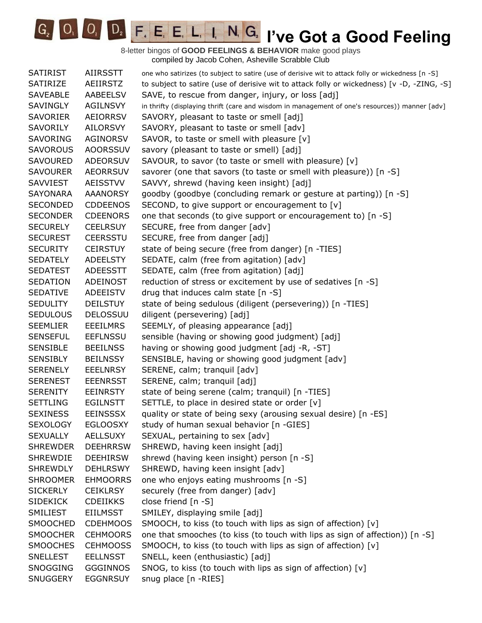

| <b>SATIRIST</b> | <b>AIIRSSTT</b> | one who satirizes (to subject to satire (use of derisive wit to attack folly or wickedness [n -S] |
|-----------------|-----------------|---------------------------------------------------------------------------------------------------|
| SATIRIZE        | AEIIRSTZ        | to subject to satire (use of derisive wit to attack folly or wickedness) [v -D, -ZING, -S]        |
| <b>SAVEABLE</b> | AABEELSV        | SAVE, to rescue from danger, injury, or loss [adj]                                                |
| <b>SAVINGLY</b> | <b>AGILNSVY</b> | in thrifty (displaying thrift (care and wisdom in management of one's resources)) manner [adv]    |
| <b>SAVORIER</b> | <b>AEIORRSV</b> | SAVORY, pleasant to taste or smell [adj]                                                          |
| SAVORILY        | AILORSVY        | SAVORY, pleasant to taste or smell [adv]                                                          |
| <b>SAVORING</b> | <b>AGINORSV</b> | SAVOR, to taste or smell with pleasure [v]                                                        |
| <b>SAVOROUS</b> | <b>AOORSSUV</b> | savory (pleasant to taste or smell) [adj]                                                         |
| SAVOURED        | ADEORSUV        | SAVOUR, to savor (to taste or smell with pleasure) [v]                                            |
| <b>SAVOURER</b> | <b>AEORRSUV</b> | savorer (one that savors (to taste or smell with pleasure)) [n -S]                                |
| SAVVIEST        | AEISSTVV        | SAVVY, shrewd (having keen insight) [adj]                                                         |
| <b>SAYONARA</b> | <b>AAANORSY</b> | goodby (goodbye (concluding remark or gesture at parting)) [n -S]                                 |
| <b>SECONDED</b> | <b>CDDEENOS</b> | SECOND, to give support or encouragement to [v]                                                   |
| <b>SECONDER</b> | <b>CDEENORS</b> | one that seconds (to give support or encouragement to) [n -S]                                     |
| <b>SECURELY</b> | <b>CEELRSUY</b> | SECURE, free from danger [adv]                                                                    |
| <b>SECUREST</b> | <b>CEERSSTU</b> | SECURE, free from danger [adj]                                                                    |
| <b>SECURITY</b> | <b>CEIRSTUY</b> | state of being secure (free from danger) [n -TIES]                                                |
| <b>SEDATELY</b> | <b>ADEELSTY</b> | SEDATE, calm (free from agitation) [adv]                                                          |
| <b>SEDATEST</b> | <b>ADEESSTT</b> | SEDATE, calm (free from agitation) [adj]                                                          |
| <b>SEDATION</b> | <b>ADEINOST</b> | reduction of stress or excitement by use of sedatives [n -S]                                      |
| <b>SEDATIVE</b> | ADEEISTV        | drug that induces calm state [n -S]                                                               |
| <b>SEDULITY</b> | <b>DEILSTUY</b> | state of being sedulous (diligent (persevering)) [n -TIES]                                        |
| <b>SEDULOUS</b> | <b>DELOSSUU</b> | diligent (persevering) [adj]                                                                      |
| <b>SEEMLIER</b> | <b>EEEILMRS</b> | SEEMLY, of pleasing appearance [adj]                                                              |
| <b>SENSEFUL</b> | <b>EEFLNSSU</b> | sensible (having or showing good judgment) [adj]                                                  |
| <b>SENSIBLE</b> | <b>BEEILNSS</b> | having or showing good judgment [adj -R, -ST]                                                     |
| <b>SENSIBLY</b> | <b>BEILNSSY</b> | SENSIBLE, having or showing good judgment [adv]                                                   |
| <b>SERENELY</b> | <b>EEELNRSY</b> | SERENE, calm; tranquil [adv]                                                                      |
| <b>SERENEST</b> | <b>EEENRSST</b> | SERENE, calm; tranquil [adj]                                                                      |
| <b>SERENITY</b> | <b>EEINRSTY</b> | state of being serene (calm; tranquil) [n -TIES]                                                  |
| <b>SETTLING</b> | <b>EGILNSTT</b> | SETTLE, to place in desired state or order [v]                                                    |
| <b>SEXINESS</b> | <b>EEINSSSX</b> | quality or state of being sexy (arousing sexual desire) [n -ES]                                   |
| <b>SEXOLOGY</b> | <b>EGLOOSXY</b> | study of human sexual behavior [n -GIES]                                                          |
| <b>SEXUALLY</b> | <b>AELLSUXY</b> | SEXUAL, pertaining to sex [adv]                                                                   |
| <b>SHREWDER</b> | <b>DEEHRRSW</b> | SHREWD, having keen insight [adj]                                                                 |
| <b>SHREWDIE</b> | <b>DEEHIRSW</b> | shrewd (having keen insight) person [n -S]                                                        |
| <b>SHREWDLY</b> | <b>DEHLRSWY</b> | SHREWD, having keen insight [adv]                                                                 |
| <b>SHROOMER</b> | <b>EHMOORRS</b> | one who enjoys eating mushrooms [n -S]                                                            |
| <b>SICKERLY</b> | <b>CEIKLRSY</b> | securely (free from danger) [adv]                                                                 |
| <b>SIDEKICK</b> | <b>CDEIIKKS</b> | close friend $[n -S]$                                                                             |
| SMILIEST        | <b>EIILMSST</b> | SMILEY, displaying smile [adj]                                                                    |
| SMOOCHED        | <b>CDEHMOOS</b> | SMOOCH, to kiss (to touch with lips as sign of affection) [v]                                     |
| <b>SMOOCHER</b> | <b>CEHMOORS</b> | one that smooches (to kiss (to touch with lips as sign of affection)) [n -S]                      |
| <b>SMOOCHES</b> | <b>CEHMOOSS</b> | SMOOCH, to kiss (to touch with lips as sign of affection) [v]                                     |
| <b>SNELLEST</b> | <b>EELLNSST</b> | SNELL, keen (enthusiastic) [adj]                                                                  |
| <b>SNOGGING</b> | <b>GGGINNOS</b> | SNOG, to kiss (to touch with lips as sign of affection) [v]                                       |
| <b>SNUGGERY</b> | <b>EGGNRSUY</b> | snug place [n -RIES]                                                                              |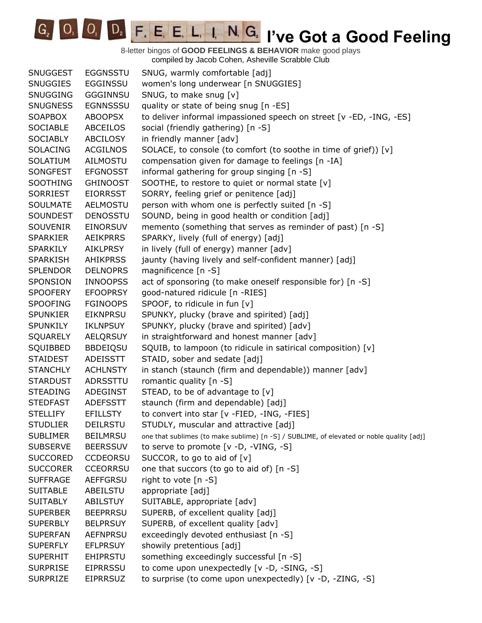| <b>SNUGGEST</b> | <b>EGGNSSTU</b> | SNUG, warmly comfortable [adj]                                                           |
|-----------------|-----------------|------------------------------------------------------------------------------------------|
| <b>SNUGGIES</b> | EGGINSSU        | women's long underwear [n SNUGGIES]                                                      |
| SNUGGING        | <b>GGGINNSU</b> | SNUG, to make snug [v]                                                                   |
| <b>SNUGNESS</b> | <b>EGNNSSSU</b> | quality or state of being snug [n -ES]                                                   |
| <b>SOAPBOX</b>  | <b>ABOOPSX</b>  | to deliver informal impassioned speech on street [v -ED, -ING, -ES]                      |
| <b>SOCIABLE</b> | ABCEILOS        | social (friendly gathering) [n -S]                                                       |
| <b>SOCIABLY</b> | ABCILOSY        | in friendly manner [adv]                                                                 |
| <b>SOLACING</b> | <b>ACGILNOS</b> | SOLACE, to console (to comfort (to soothe in time of grief)) [v]                         |
| SOLATIUM        | AILMOSTU        | compensation given for damage to feelings [n -IA]                                        |
| SONGFEST        | <b>EFGNOSST</b> | informal gathering for group singing [n -S]                                              |
| <b>SOOTHING</b> | <b>GHINOOST</b> | SOOTHE, to restore to quiet or normal state [v]                                          |
| SORRIEST        | <b>EIORRSST</b> | SORRY, feeling grief or penitence [adj]                                                  |
| <b>SOULMATE</b> | AELMOSTU        | person with whom one is perfectly suited [n -S]                                          |
| <b>SOUNDEST</b> | <b>DENOSSTU</b> | SOUND, being in good health or condition [adj]                                           |
| <b>SOUVENIR</b> | <b>EINORSUV</b> | memento (something that serves as reminder of past) [n -S]                               |
| <b>SPARKIER</b> | <b>AEIKPRRS</b> | SPARKY, lively (full of energy) [adj]                                                    |
| SPARKILY        | AIKLPRSY        | in lively (full of energy) manner [adv]                                                  |
| <b>SPARKISH</b> | <b>AHIKPRSS</b> | jaunty (having lively and self-confident manner) [adj]                                   |
| <b>SPLENDOR</b> | <b>DELNOPRS</b> | magnificence [n -S]                                                                      |
| SPONSION        | <b>INNOOPSS</b> | act of sponsoring (to make oneself responsible for) [n -S]                               |
| <b>SPOOFERY</b> | <b>EFOOPRSY</b> | good-natured ridicule [n -RIES]                                                          |
| <b>SPOOFING</b> | <b>FGINOOPS</b> | SPOOF, to ridicule in fun [v]                                                            |
| <b>SPUNKIER</b> | <b>EIKNPRSU</b> | SPUNKY, plucky (brave and spirited) [adj]                                                |
| <b>SPUNKILY</b> | IKLNPSUY        | SPUNKY, plucky (brave and spirited) [adv]                                                |
| <b>SQUARELY</b> | <b>AELQRSUY</b> | in straightforward and honest manner [adv]                                               |
| SQUIBBED        | <b>BBDEIQSU</b> | SQUIB, to lampoon (to ridicule in satirical composition) [v]                             |
| <b>STAIDEST</b> | ADEISSTT        | STAID, sober and sedate [adj]                                                            |
| <b>STANCHLY</b> | <b>ACHLNSTY</b> | in stanch (staunch (firm and dependable)) manner [adv]                                   |
| <b>STARDUST</b> | ADRSSTTU        | romantic quality [n -S]                                                                  |
| <b>STEADING</b> | ADEGINST        | STEAD, to be of advantage to [v]                                                         |
| <b>STEDFAST</b> | <b>ADEFSSTT</b> | staunch (firm and dependable) [adj]                                                      |
| <b>STELLIFY</b> | <b>EFILLSTY</b> | to convert into star [v -FIED, -ING, -FIES]                                              |
| <b>STUDLIER</b> | <b>DEILRSTU</b> | STUDLY, muscular and attractive [adj]                                                    |
| <b>SUBLIMER</b> | <b>BEILMRSU</b> | one that sublimes (to make sublime) [n -S] / SUBLIME, of elevated or noble quality [adj] |
| <b>SUBSERVE</b> | <b>BEERSSUV</b> | to serve to promote [v -D, -VING, -S]                                                    |
| <b>SUCCORED</b> | <b>CCDEORSU</b> | SUCCOR, to go to aid of $[v]$                                                            |
| <b>SUCCORER</b> | <b>CCEORRSU</b> | one that succors (to go to aid of) [n -S]                                                |
| <b>SUFFRAGE</b> | <b>AEFFGRSU</b> | right to vote [n -S]                                                                     |
| <b>SUITABLE</b> | ABEILSTU        | appropriate [adj]                                                                        |
| <b>SUITABLY</b> | <b>ABILSTUY</b> | SUITABLE, appropriate [adv]                                                              |
| <b>SUPERBER</b> | <b>BEEPRRSU</b> | SUPERB, of excellent quality [adj]                                                       |
| <b>SUPERBLY</b> | <b>BELPRSUY</b> | SUPERB, of excellent quality [adv]                                                       |
| <b>SUPERFAN</b> | <b>AEFNPRSU</b> | exceedingly devoted enthusiast [n -S]                                                    |
| <b>SUPERFLY</b> | <b>EFLPRSUY</b> | showily pretentious [adj]                                                                |
| <b>SUPERHIT</b> | <b>EHIPRSTU</b> | something exceedingly successful [n -S]                                                  |
| <b>SURPRISE</b> | <b>EIPRRSSU</b> | to come upon unexpectedly [v -D, -SING, -S]                                              |
| <b>SURPRIZE</b> | <b>EIPRRSUZ</b> | to surprise (to come upon unexpectedly) [v -D, -ZING, -S]                                |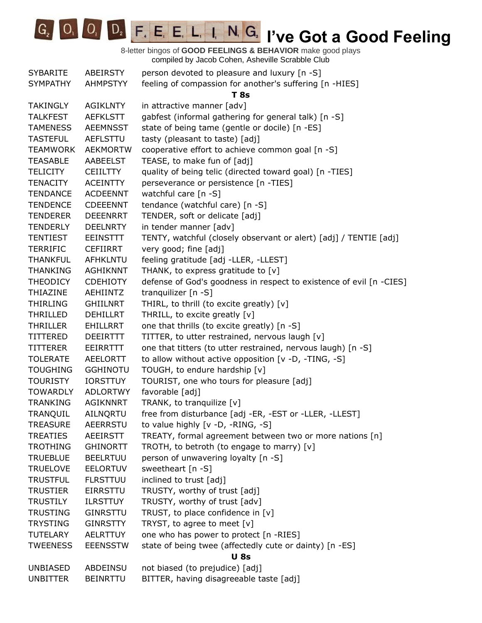

| <b>SYBARITE</b> | <b>ABEIRSTY</b> | person devoted to pleasure and luxury [n -S]                        |
|-----------------|-----------------|---------------------------------------------------------------------|
| <b>SYMPATHY</b> | <b>AHMPSTYY</b> | feeling of compassion for another's suffering [n -HIES]             |
|                 |                 | <b>T</b> 8s                                                         |
| <b>TAKINGLY</b> | <b>AGIKLNTY</b> | in attractive manner [adv]                                          |
| <b>TALKFEST</b> | <b>AEFKLSTT</b> | gabfest (informal gathering for general talk) [n -S]                |
| <b>TAMENESS</b> | <b>AEEMNSST</b> | state of being tame (gentle or docile) [n -ES]                      |
| <b>TASTEFUL</b> | <b>AEFLSTTU</b> | tasty (pleasant to taste) [adj]                                     |
| <b>TEAMWORK</b> | <b>AEKMORTW</b> | cooperative effort to achieve common goal [n -S]                    |
| <b>TEASABLE</b> | AABEELST        | TEASE, to make fun of [adj]                                         |
| <b>TELICITY</b> | <b>CEIILTTY</b> | quality of being telic (directed toward goal) [n -TIES]             |
| <b>TENACITY</b> | <b>ACEINTTY</b> | perseverance or persistence [n -TIES]                               |
| <b>TENDANCE</b> | <b>ACDEENNT</b> | watchful care [n -S]                                                |
| <b>TENDENCE</b> | <b>CDEEENNT</b> | tendance (watchful care) [n -S]                                     |
| <b>TENDERER</b> | <b>DEEENRRT</b> | TENDER, soft or delicate [adj]                                      |
| TENDERLY        | <b>DEELNRTY</b> | in tender manner [adv]                                              |
| TENTIEST        | <b>EEINSTTT</b> | TENTY, watchful (closely observant or alert) [adj] / TENTIE [adj]   |
| <b>TERRIFIC</b> | <b>CEFIIRRT</b> | very good; fine [adj]                                               |
| <b>THANKFUL</b> | <b>AFHKLNTU</b> | feeling gratitude [adj -LLER, -LLEST]                               |
| <b>THANKING</b> | <b>AGHIKNNT</b> | THANK, to express gratitude to [v]                                  |
| <b>THEODICY</b> | <b>CDEHIOTY</b> | defense of God's goodness in respect to existence of evil [n -CIES] |
| THIAZINE        | AEHIINTZ        | tranquilizer [n -S]                                                 |
| <b>THIRLING</b> | <b>GHIILNRT</b> | THIRL, to thrill (to excite greatly) [v]                            |
| <b>THRILLED</b> | <b>DEHILLRT</b> | THRILL, to excite greatly [v]                                       |
| THRILLER        | <b>EHILLRRT</b> | one that thrills (to excite greatly) [n -S]                         |
| <b>TITTERED</b> | <b>DEEIRTTT</b> | TITTER, to utter restrained, nervous laugh [v]                      |
| TITTERER        | EEIRRTTT        | one that titters (to utter restrained, nervous laugh) [n -S]        |
| <b>TOLERATE</b> | AEELORTT        | to allow without active opposition [v -D, -TING, -S]                |
| <b>TOUGHING</b> | <b>GGHINOTU</b> | TOUGH, to endure hardship [v]                                       |
| <b>TOURISTY</b> | <b>IORSTTUY</b> | TOURIST, one who tours for pleasure [adj]                           |
| <b>TOWARDLY</b> | ADLORTWY        | favorable [adj]                                                     |
| <b>TRANKING</b> | AGIKNNRT        | TRANK, to tranquilize [v]                                           |
| TRANQUIL        | AILNQRTU        | free from disturbance [adj -ER, -EST or -LLER, -LLEST]              |
| <b>TREASURE</b> | <b>AEERRSTU</b> | to value highly [v -D, -RING, -S]                                   |
| <b>TREATIES</b> | <b>AEEIRSTT</b> | TREATY, formal agreement between two or more nations [n]            |
| <b>TROTHING</b> | <b>GHINORTT</b> | TROTH, to betroth (to engage to marry) [v]                          |
| <b>TRUEBLUE</b> | <b>BEELRTUU</b> | person of unwavering loyalty [n -S]                                 |
| <b>TRUELOVE</b> | <b>EELORTUV</b> | sweetheart [n -S]                                                   |
| <b>TRUSTFUL</b> | <b>FLRSTTUU</b> | inclined to trust [adj]                                             |
| <b>TRUSTIER</b> | <b>EIRRSTTU</b> | TRUSTY, worthy of trust [adj]                                       |
| <b>TRUSTILY</b> | <b>ILRSTTUY</b> | TRUSTY, worthy of trust [adv]                                       |
| <b>TRUSTING</b> | <b>GINRSTTU</b> | TRUST, to place confidence in [v]                                   |
| <b>TRYSTING</b> | <b>GINRSTTY</b> | TRYST, to agree to meet [v]                                         |
| <b>TUTELARY</b> | <b>AELRTTUY</b> | one who has power to protect [n -RIES]                              |
| <b>TWEENESS</b> | <b>EEENSSTW</b> | state of being twee (affectedly cute or dainty) [n -ES]             |
|                 |                 | <b>U</b> 8s                                                         |
| <b>UNBIASED</b> | ABDEINSU        | not biased (to prejudice) [adj]                                     |
| <b>UNBITTER</b> | <b>BEINRTTU</b> | BITTER, having disagreeable taste [adj]                             |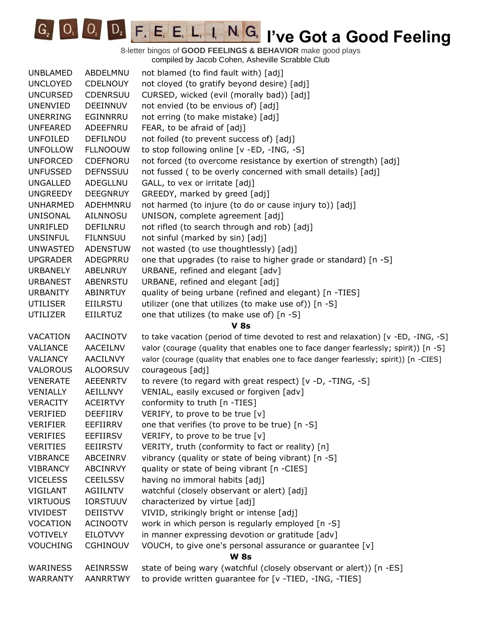| <b>UNBLAMED</b> | ABDELMNU        | not blamed (to find fault with) [adj]                                                  |
|-----------------|-----------------|----------------------------------------------------------------------------------------|
| <b>UNCLOYED</b> | CDELNOUY        | not cloyed (to gratify beyond desire) [adj]                                            |
| <b>UNCURSED</b> | <b>CDENRSUU</b> | CURSED, wicked (evil (morally bad)) [adj]                                              |
| <b>UNENVIED</b> | <b>DEEINNUV</b> | not envied (to be envious of) [adj]                                                    |
| <b>UNERRING</b> | EGINNRRU        | not erring (to make mistake) [adj]                                                     |
| <b>UNFEARED</b> | ADEEFNRU        | FEAR, to be afraid of [adj]                                                            |
| <b>UNFOILED</b> | DEFILNOU        | not foiled (to prevent success of) [adj]                                               |
| <b>UNFOLLOW</b> | <b>FLLNOOUW</b> | to stop following online [v -ED, -ING, -S]                                             |
| <b>UNFORCED</b> | <b>CDEFNORU</b> | not forced (to overcome resistance by exertion of strength) [adj]                      |
| <b>UNFUSSED</b> | <b>DEFNSSUU</b> | not fussed (to be overly concerned with small details) [adj]                           |
| <b>UNGALLED</b> | ADEGLLNU        | GALL, to vex or irritate [adj]                                                         |
| <b>UNGREEDY</b> | <b>DEEGNRUY</b> | GREEDY, marked by greed [adj]                                                          |
| <b>UNHARMED</b> | ADEHMNRU        | not harmed (to injure (to do or cause injury to)) [adj]                                |
| UNISONAL        | <b>AILNNOSU</b> | UNISON, complete agreement [adj]                                                       |
| UNRIFLED        | DEFILNRU        | not rifled (to search through and rob) [adj]                                           |
| <b>UNSINFUL</b> | <b>FILNNSUU</b> | not sinful (marked by sin) [adj]                                                       |
| <b>UNWASTED</b> | <b>ADENSTUW</b> | not wasted (to use thoughtlessly) [adj]                                                |
| <b>UPGRADER</b> | ADEGPRRU        | one that upgrades (to raise to higher grade or standard) [n -S]                        |
| <b>URBANELY</b> | ABELNRUY        | URBANE, refined and elegant [adv]                                                      |
| <b>URBANEST</b> | ABENRSTU        | URBANE, refined and elegant [adj]                                                      |
| <b>URBANITY</b> | ABINRTUY        | quality of being urbane (refined and elegant) [n -TIES]                                |
| <b>UTILISER</b> | <b>EIILRSTU</b> | utilizer (one that utilizes (to make use of)) [n -S]                                   |
| <b>UTILIZER</b> | <b>EIILRTUZ</b> | one that utilizes (to make use of) [n -S]                                              |
|                 |                 | <b>V 8s</b>                                                                            |
| VACATION        | <b>AACINOTV</b> | to take vacation (period of time devoted to rest and relaxation) [v -ED, -ING, -S]     |
| VALIANCE        | AACEILNV        | valor (courage (quality that enables one to face danger fearlessly; spirit)) [n -S]    |
| VALIANCY        | <b>AACILNVY</b> | valor (courage (quality that enables one to face danger fearlessly; spirit)) [n -CIES] |
| <b>VALOROUS</b> | <b>ALOORSUV</b> | courageous [adj]                                                                       |
| <b>VENERATE</b> | <b>AEEENRTV</b> | to revere (to regard with great respect) [v -D, -TING, -S]                             |
| VENIALLY        | <b>AEILLNVY</b> | VENIAL, easily excused or forgiven [adv]                                               |
| <b>VERACITY</b> | <b>ACEIRTVY</b> | conformity to truth [n -TIES]                                                          |
| VERIFIED        | DEEFIIRV        | VERIFY, to prove to be true [v]                                                        |
| <b>VERIFIER</b> | <b>EEFIIRRV</b> | one that verifies (to prove to be true) [n -S]                                         |
| <b>VERIFIES</b> | <b>EEFIIRSV</b> | VERIFY, to prove to be true [v]                                                        |
| <b>VERITIES</b> | <b>EEIIRSTV</b> | VERITY, truth (conformity to fact or reality) [n]                                      |
| <b>VIBRANCE</b> | ABCEINRV        | vibrancy (quality or state of being vibrant) [n -S]                                    |
| <b>VIBRANCY</b> | <b>ABCINRVY</b> | quality or state of being vibrant [n -CIES]                                            |
| <b>VICELESS</b> | <b>CEEILSSV</b> | having no immoral habits [adj]                                                         |
| VIGILANT        | <b>AGIILNTV</b> | watchful (closely observant or alert) [adj]                                            |
| <b>VIRTUOUS</b> | <b>IORSTUUV</b> | characterized by virtue [adj]                                                          |
| <b>VIVIDEST</b> | <b>DEIISTVV</b> | VIVID, strikingly bright or intense [adj]                                              |
| <b>VOCATION</b> | <b>ACINOOTV</b> | work in which person is regularly employed [n -S]                                      |
| <b>VOTIVELY</b> | <b>EILOTVVY</b> | in manner expressing devotion or gratitude [adv]                                       |
| <b>VOUCHING</b> | <b>CGHINOUV</b> | VOUCH, to give one's personal assurance or guarantee [v]                               |
|                 |                 | <b>W</b> 8s                                                                            |
| <b>WARINESS</b> | <b>AEINRSSW</b> | state of being wary (watchful (closely observant or alert)) [n -ES]                    |
| <b>WARRANTY</b> | AANRRTWY        | to provide written guarantee for [v -TIED, -ING, -TIES]                                |